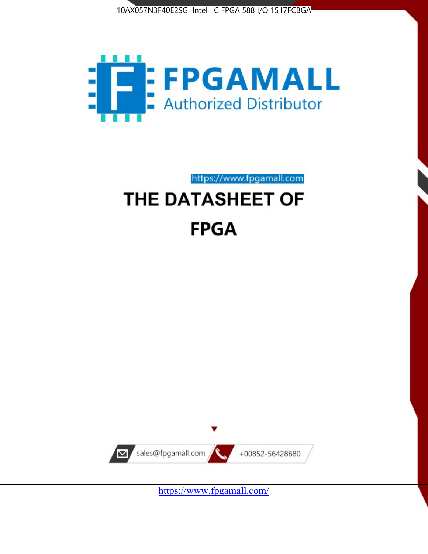



https://www.fpgamall.com

# THE DATASHEET OF **FPGA**



<https://www.fpgamall.com/>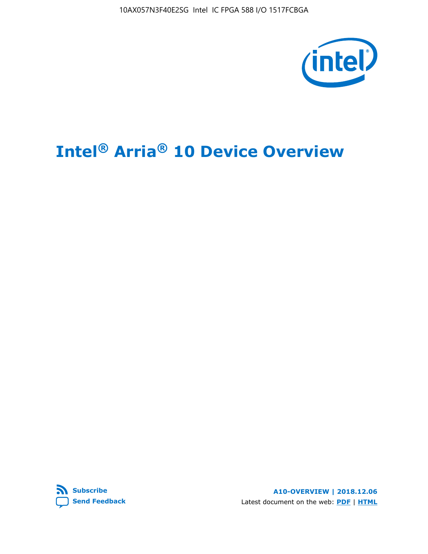10AX057N3F40E2SG Intel IC FPGA 588 I/O 1517FCBGA



# **Intel® Arria® 10 Device Overview**



**A10-OVERVIEW | 2018.12.06** Latest document on the web: **[PDF](https://www.intel.com/content/dam/www/programmable/us/en/pdfs/literature/hb/arria-10/a10_overview.pdf)** | **[HTML](https://www.intel.com/content/www/us/en/programmable/documentation/sam1403480274650.html)**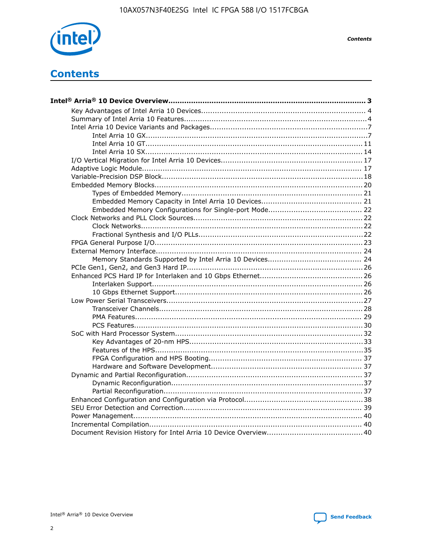

**Contents** 

## **Contents**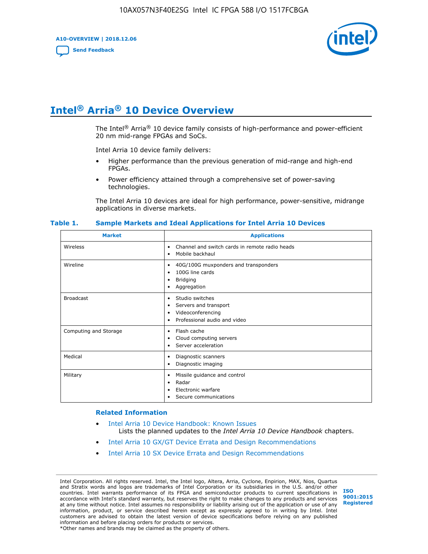**A10-OVERVIEW | 2018.12.06**

**[Send Feedback](mailto:FPGAtechdocfeedback@intel.com?subject=Feedback%20on%20Intel%20Arria%2010%20Device%20Overview%20(A10-OVERVIEW%202018.12.06)&body=We%20appreciate%20your%20feedback.%20In%20your%20comments,%20also%20specify%20the%20page%20number%20or%20paragraph.%20Thank%20you.)**



## **Intel® Arria® 10 Device Overview**

The Intel<sup>®</sup> Arria<sup>®</sup> 10 device family consists of high-performance and power-efficient 20 nm mid-range FPGAs and SoCs.

Intel Arria 10 device family delivers:

- Higher performance than the previous generation of mid-range and high-end FPGAs.
- Power efficiency attained through a comprehensive set of power-saving technologies.

The Intel Arria 10 devices are ideal for high performance, power-sensitive, midrange applications in diverse markets.

| <b>Market</b>         | <b>Applications</b>                                                                                               |
|-----------------------|-------------------------------------------------------------------------------------------------------------------|
| Wireless              | Channel and switch cards in remote radio heads<br>٠<br>Mobile backhaul<br>٠                                       |
| Wireline              | 40G/100G muxponders and transponders<br>٠<br>100G line cards<br>٠<br><b>Bridging</b><br>٠<br>Aggregation<br>٠     |
| <b>Broadcast</b>      | Studio switches<br>٠<br>Servers and transport<br>٠<br>Videoconferencing<br>٠<br>Professional audio and video<br>٠ |
| Computing and Storage | Flash cache<br>٠<br>Cloud computing servers<br>٠<br>Server acceleration<br>٠                                      |
| Medical               | Diagnostic scanners<br>٠<br>Diagnostic imaging<br>٠                                                               |
| Military              | Missile guidance and control<br>٠<br>Radar<br>٠<br>Electronic warfare<br>٠<br>Secure communications<br>٠          |

#### **Table 1. Sample Markets and Ideal Applications for Intel Arria 10 Devices**

#### **Related Information**

- [Intel Arria 10 Device Handbook: Known Issues](http://www.altera.com/support/kdb/solutions/rd07302013_646.html) Lists the planned updates to the *Intel Arria 10 Device Handbook* chapters.
- [Intel Arria 10 GX/GT Device Errata and Design Recommendations](https://www.intel.com/content/www/us/en/programmable/documentation/agz1493851706374.html#yqz1494433888646)
- [Intel Arria 10 SX Device Errata and Design Recommendations](https://www.intel.com/content/www/us/en/programmable/documentation/cru1462832385668.html#cru1462832558642)

Intel Corporation. All rights reserved. Intel, the Intel logo, Altera, Arria, Cyclone, Enpirion, MAX, Nios, Quartus and Stratix words and logos are trademarks of Intel Corporation or its subsidiaries in the U.S. and/or other countries. Intel warrants performance of its FPGA and semiconductor products to current specifications in accordance with Intel's standard warranty, but reserves the right to make changes to any products and services at any time without notice. Intel assumes no responsibility or liability arising out of the application or use of any information, product, or service described herein except as expressly agreed to in writing by Intel. Intel customers are advised to obtain the latest version of device specifications before relying on any published information and before placing orders for products or services. \*Other names and brands may be claimed as the property of others.

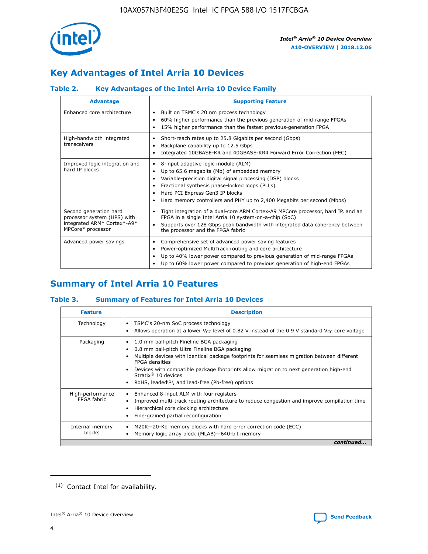

### **Key Advantages of Intel Arria 10 Devices**

### **Table 2. Key Advantages of the Intel Arria 10 Device Family**

| <b>Advantage</b>                                                                                          | <b>Supporting Feature</b>                                                                                                                                                                                                                                                                                                |
|-----------------------------------------------------------------------------------------------------------|--------------------------------------------------------------------------------------------------------------------------------------------------------------------------------------------------------------------------------------------------------------------------------------------------------------------------|
| Enhanced core architecture                                                                                | Built on TSMC's 20 nm process technology<br>٠<br>60% higher performance than the previous generation of mid-range FPGAs<br>٠<br>15% higher performance than the fastest previous-generation FPGA<br>٠                                                                                                                    |
| High-bandwidth integrated<br>transceivers                                                                 | Short-reach rates up to 25.8 Gigabits per second (Gbps)<br>٠<br>Backplane capability up to 12.5 Gbps<br>٠<br>Integrated 10GBASE-KR and 40GBASE-KR4 Forward Error Correction (FEC)<br>٠                                                                                                                                   |
| Improved logic integration and<br>hard IP blocks                                                          | 8-input adaptive logic module (ALM)<br>٠<br>Up to 65.6 megabits (Mb) of embedded memory<br>٠<br>Variable-precision digital signal processing (DSP) blocks<br>Fractional synthesis phase-locked loops (PLLs)<br>Hard PCI Express Gen3 IP blocks<br>Hard memory controllers and PHY up to 2,400 Megabits per second (Mbps) |
| Second generation hard<br>processor system (HPS) with<br>integrated ARM* Cortex*-A9*<br>MPCore* processor | Tight integration of a dual-core ARM Cortex-A9 MPCore processor, hard IP, and an<br>٠<br>FPGA in a single Intel Arria 10 system-on-a-chip (SoC)<br>Supports over 128 Gbps peak bandwidth with integrated data coherency between<br>$\bullet$<br>the processor and the FPGA fabric                                        |
| Advanced power savings                                                                                    | Comprehensive set of advanced power saving features<br>٠<br>Power-optimized MultiTrack routing and core architecture<br>٠<br>Up to 40% lower power compared to previous generation of mid-range FPGAs<br>Up to 60% lower power compared to previous generation of high-end FPGAs                                         |

### **Summary of Intel Arria 10 Features**

### **Table 3. Summary of Features for Intel Arria 10 Devices**

| <b>Feature</b>                  | <b>Description</b>                                                                                                                                                                                                                                                                                                                                                                                       |
|---------------------------------|----------------------------------------------------------------------------------------------------------------------------------------------------------------------------------------------------------------------------------------------------------------------------------------------------------------------------------------------------------------------------------------------------------|
| Technology                      | TSMC's 20-nm SoC process technology<br>٠<br>Allows operation at a lower $V_{\text{CC}}$ level of 0.82 V instead of the 0.9 V standard $V_{\text{CC}}$ core voltage                                                                                                                                                                                                                                       |
| Packaging                       | 1.0 mm ball-pitch Fineline BGA packaging<br>0.8 mm ball-pitch Ultra Fineline BGA packaging<br>Multiple devices with identical package footprints for seamless migration between different<br><b>FPGA</b> densities<br>Devices with compatible package footprints allow migration to next generation high-end<br>Stratix $\mathcal{R}$ 10 devices<br>RoHS, leaded $(1)$ , and lead-free (Pb-free) options |
| High-performance<br>FPGA fabric | Enhanced 8-input ALM with four registers<br>٠<br>Improved multi-track routing architecture to reduce congestion and improve compilation time<br>Hierarchical core clocking architecture<br>Fine-grained partial reconfiguration                                                                                                                                                                          |
| Internal memory<br>blocks       | M20K-20-Kb memory blocks with hard error correction code (ECC)<br>Memory logic array block (MLAB)-640-bit memory                                                                                                                                                                                                                                                                                         |
|                                 | continued                                                                                                                                                                                                                                                                                                                                                                                                |



<sup>(1)</sup> Contact Intel for availability.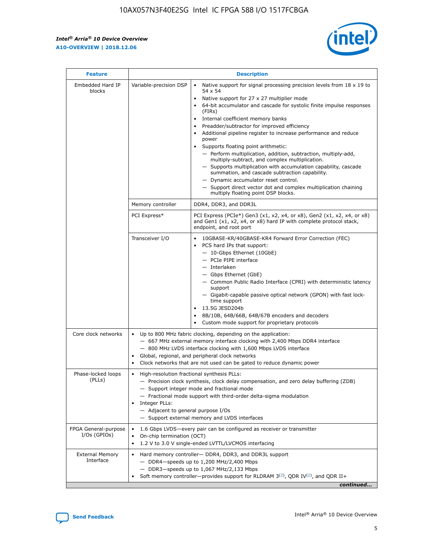r



| <b>Feature</b>                         | <b>Description</b>                                                                                     |                                                                                                                                                                                                                                                                                                                                                                                                                                                                                                                                                                                                                                                                                                                                                                                                                                                                               |  |  |  |  |  |
|----------------------------------------|--------------------------------------------------------------------------------------------------------|-------------------------------------------------------------------------------------------------------------------------------------------------------------------------------------------------------------------------------------------------------------------------------------------------------------------------------------------------------------------------------------------------------------------------------------------------------------------------------------------------------------------------------------------------------------------------------------------------------------------------------------------------------------------------------------------------------------------------------------------------------------------------------------------------------------------------------------------------------------------------------|--|--|--|--|--|
| Embedded Hard IP<br>blocks             | Variable-precision DSP                                                                                 | Native support for signal processing precision levels from $18 \times 19$ to<br>$\bullet$<br>54 x 54<br>Native support for 27 x 27 multiplier mode<br>$\bullet$<br>64-bit accumulator and cascade for systolic finite impulse responses<br>$\bullet$<br>(FIRs)<br>Internal coefficient memory banks<br>$\bullet$<br>Preadder/subtractor for improved efficiency<br>Additional pipeline register to increase performance and reduce<br>power<br>Supports floating point arithmetic:<br>- Perform multiplication, addition, subtraction, multiply-add,<br>multiply-subtract, and complex multiplication.<br>- Supports multiplication with accumulation capability, cascade<br>summation, and cascade subtraction capability.<br>- Dynamic accumulator reset control.<br>- Support direct vector dot and complex multiplication chaining<br>multiply floating point DSP blocks. |  |  |  |  |  |
|                                        | Memory controller                                                                                      | DDR4, DDR3, and DDR3L                                                                                                                                                                                                                                                                                                                                                                                                                                                                                                                                                                                                                                                                                                                                                                                                                                                         |  |  |  |  |  |
|                                        | PCI Express*                                                                                           | PCI Express (PCIe*) Gen3 (x1, x2, x4, or x8), Gen2 (x1, x2, x4, or x8)<br>and Gen1 (x1, x2, x4, or x8) hard IP with complete protocol stack,<br>endpoint, and root port                                                                                                                                                                                                                                                                                                                                                                                                                                                                                                                                                                                                                                                                                                       |  |  |  |  |  |
|                                        | Transceiver I/O                                                                                        | 10GBASE-KR/40GBASE-KR4 Forward Error Correction (FEC)<br>PCS hard IPs that support:<br>٠<br>- 10-Gbps Ethernet (10GbE)<br>- PCIe PIPE interface<br>- Interlaken<br>- Gbps Ethernet (GbE)<br>- Common Public Radio Interface (CPRI) with deterministic latency<br>support<br>- Gigabit-capable passive optical network (GPON) with fast lock-<br>time support<br>13.5G JESD204b<br>$\bullet$<br>8B/10B, 64B/66B, 64B/67B encoders and decoders<br>$\bullet$<br>Custom mode support for proprietary protocols                                                                                                                                                                                                                                                                                                                                                                   |  |  |  |  |  |
| Core clock networks                    | $\bullet$                                                                                              | Up to 800 MHz fabric clocking, depending on the application:<br>- 667 MHz external memory interface clocking with 2,400 Mbps DDR4 interface<br>- 800 MHz LVDS interface clocking with 1,600 Mbps LVDS interface<br>Global, regional, and peripheral clock networks<br>Clock networks that are not used can be gated to reduce dynamic power                                                                                                                                                                                                                                                                                                                                                                                                                                                                                                                                   |  |  |  |  |  |
| Phase-locked loops<br>(PLLs)           | High-resolution fractional synthesis PLLs:<br>٠<br>Integer PLLs:<br>- Adjacent to general purpose I/Os | - Precision clock synthesis, clock delay compensation, and zero delay buffering (ZDB)<br>- Support integer mode and fractional mode<br>- Fractional mode support with third-order delta-sigma modulation<br>- Support external memory and LVDS interfaces                                                                                                                                                                                                                                                                                                                                                                                                                                                                                                                                                                                                                     |  |  |  |  |  |
| FPGA General-purpose<br>$I/Os$ (GPIOs) | On-chip termination (OCT)<br>٠                                                                         | 1.6 Gbps LVDS-every pair can be configured as receiver or transmitter<br>1.2 V to 3.0 V single-ended LVTTL/LVCMOS interfacing                                                                                                                                                                                                                                                                                                                                                                                                                                                                                                                                                                                                                                                                                                                                                 |  |  |  |  |  |
| <b>External Memory</b><br>Interface    | $\bullet$                                                                                              | Hard memory controller- DDR4, DDR3, and DDR3L support<br>- DDR4-speeds up to 1,200 MHz/2,400 Mbps<br>- DDR3-speeds up to 1,067 MHz/2,133 Mbps<br>Soft memory controller—provides support for RLDRAM $3^{(2)}$ , QDR IV $^{(2)}$ , and QDR II+<br>continued                                                                                                                                                                                                                                                                                                                                                                                                                                                                                                                                                                                                                    |  |  |  |  |  |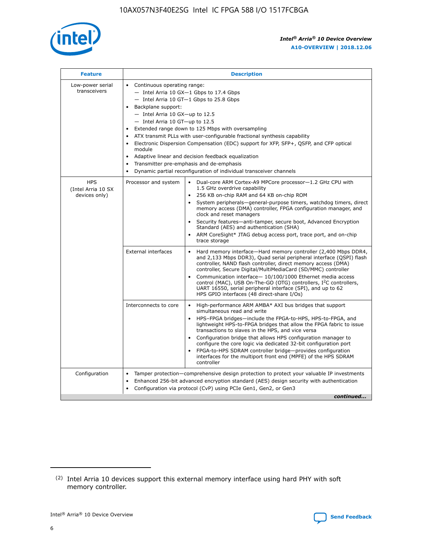

| <b>Feature</b>                                    | <b>Description</b>                                                                                                                                                                                                                                                                                                                                                                                                                                                                                                                                                                                                                           |  |  |  |  |  |  |  |  |
|---------------------------------------------------|----------------------------------------------------------------------------------------------------------------------------------------------------------------------------------------------------------------------------------------------------------------------------------------------------------------------------------------------------------------------------------------------------------------------------------------------------------------------------------------------------------------------------------------------------------------------------------------------------------------------------------------------|--|--|--|--|--|--|--|--|
| Low-power serial<br>transceivers                  | • Continuous operating range:<br>- Intel Arria 10 GX-1 Gbps to 17.4 Gbps<br>- Intel Arria 10 GT-1 Gbps to 25.8 Gbps<br>Backplane support:<br>$-$ Intel Arria 10 GX-up to 12.5<br>- Intel Arria 10 GT-up to 12.5<br>Extended range down to 125 Mbps with oversampling<br>ATX transmit PLLs with user-configurable fractional synthesis capability<br>• Electronic Dispersion Compensation (EDC) support for XFP, SFP+, QSFP, and CFP optical<br>module<br>• Adaptive linear and decision feedback equalization<br>Transmitter pre-emphasis and de-emphasis<br>$\bullet$<br>Dynamic partial reconfiguration of individual transceiver channels |  |  |  |  |  |  |  |  |
| <b>HPS</b><br>(Intel Arria 10 SX<br>devices only) | Dual-core ARM Cortex-A9 MPCore processor-1.2 GHz CPU with<br>Processor and system<br>$\bullet$<br>1.5 GHz overdrive capability<br>256 KB on-chip RAM and 64 KB on-chip ROM<br>System peripherals-general-purpose timers, watchdog timers, direct<br>memory access (DMA) controller, FPGA configuration manager, and<br>clock and reset managers<br>• Security features—anti-tamper, secure boot, Advanced Encryption<br>Standard (AES) and authentication (SHA)<br>ARM CoreSight* JTAG debug access port, trace port, and on-chip<br>trace storage                                                                                           |  |  |  |  |  |  |  |  |
|                                                   | <b>External interfaces</b><br>Hard memory interface—Hard memory controller (2,400 Mbps DDR4,<br>$\bullet$<br>and 2,133 Mbps DDR3), Quad serial peripheral interface (QSPI) flash<br>controller, NAND flash controller, direct memory access (DMA)<br>controller, Secure Digital/MultiMediaCard (SD/MMC) controller<br>Communication interface-10/100/1000 Ethernet media access<br>control (MAC), USB On-The-GO (OTG) controllers, I <sup>2</sup> C controllers,<br>UART 16550, serial peripheral interface (SPI), and up to 62<br>HPS GPIO interfaces (48 direct-share I/Os)                                                                |  |  |  |  |  |  |  |  |
|                                                   | High-performance ARM AMBA* AXI bus bridges that support<br>Interconnects to core<br>$\bullet$<br>simultaneous read and write<br>HPS-FPGA bridges—include the FPGA-to-HPS, HPS-to-FPGA, and<br>lightweight HPS-to-FPGA bridges that allow the FPGA fabric to issue<br>transactions to slaves in the HPS, and vice versa<br>Configuration bridge that allows HPS configuration manager to<br>configure the core logic via dedicated 32-bit configuration port<br>FPGA-to-HPS SDRAM controller bridge-provides configuration<br>interfaces for the multiport front end (MPFE) of the HPS SDRAM<br>controller                                    |  |  |  |  |  |  |  |  |
| Configuration                                     | Tamper protection—comprehensive design protection to protect your valuable IP investments<br>Enhanced 256-bit advanced encryption standard (AES) design security with authentication<br>٠<br>Configuration via protocol (CvP) using PCIe Gen1, Gen2, or Gen3<br>continued                                                                                                                                                                                                                                                                                                                                                                    |  |  |  |  |  |  |  |  |

<sup>(2)</sup> Intel Arria 10 devices support this external memory interface using hard PHY with soft memory controller.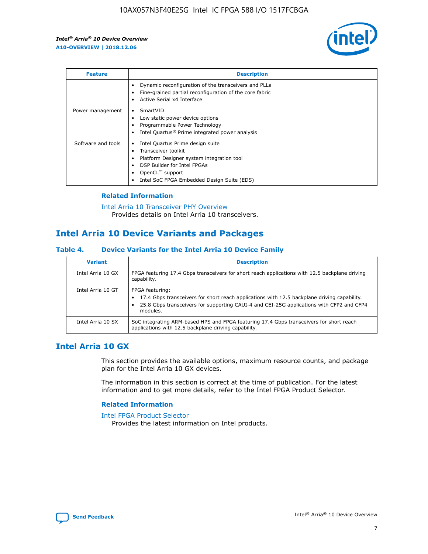

| <b>Feature</b>     | <b>Description</b>                                                                                                                                                                                                            |
|--------------------|-------------------------------------------------------------------------------------------------------------------------------------------------------------------------------------------------------------------------------|
|                    | Dynamic reconfiguration of the transceivers and PLLs<br>Fine-grained partial reconfiguration of the core fabric<br>Active Serial x4 Interface<br>$\bullet$                                                                    |
| Power management   | SmartVID<br>Low static power device options<br>Programmable Power Technology<br>Intel Quartus <sup>®</sup> Prime integrated power analysis                                                                                    |
| Software and tools | Intel Quartus Prime design suite<br>Transceiver toolkit<br>$\bullet$<br>Platform Designer system integration tool<br>DSP Builder for Intel FPGAs<br>OpenCL <sup>™</sup> support<br>Intel SoC FPGA Embedded Design Suite (EDS) |

### **Related Information**

#### [Intel Arria 10 Transceiver PHY Overview](https://www.intel.com/content/www/us/en/programmable/documentation/nik1398707230472.html#nik1398706768037) Provides details on Intel Arria 10 transceivers.

### **Intel Arria 10 Device Variants and Packages**

### **Table 4. Device Variants for the Intel Arria 10 Device Family**

| <b>Variant</b>    | <b>Description</b>                                                                                                                                                                                                     |
|-------------------|------------------------------------------------------------------------------------------------------------------------------------------------------------------------------------------------------------------------|
| Intel Arria 10 GX | FPGA featuring 17.4 Gbps transceivers for short reach applications with 12.5 backplane driving<br>capability.                                                                                                          |
| Intel Arria 10 GT | FPGA featuring:<br>17.4 Gbps transceivers for short reach applications with 12.5 backplane driving capability.<br>25.8 Gbps transceivers for supporting CAUI-4 and CEI-25G applications with CFP2 and CFP4<br>modules. |
| Intel Arria 10 SX | SoC integrating ARM-based HPS and FPGA featuring 17.4 Gbps transceivers for short reach<br>applications with 12.5 backplane driving capability.                                                                        |

### **Intel Arria 10 GX**

This section provides the available options, maximum resource counts, and package plan for the Intel Arria 10 GX devices.

The information in this section is correct at the time of publication. For the latest information and to get more details, refer to the Intel FPGA Product Selector.

### **Related Information**

#### [Intel FPGA Product Selector](http://www.altera.com/products/selector/psg-selector.html) Provides the latest information on Intel products.

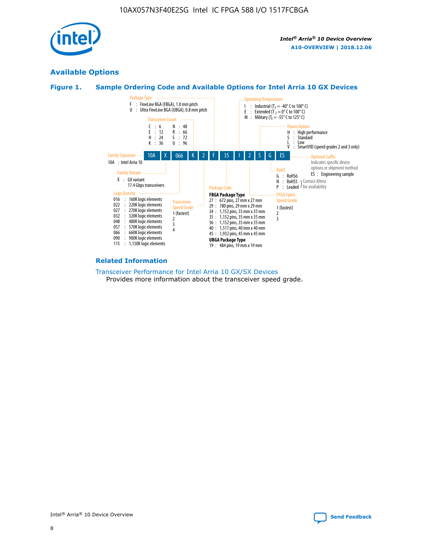

### **Available Options**





#### **Related Information**

[Transceiver Performance for Intel Arria 10 GX/SX Devices](https://www.intel.com/content/www/us/en/programmable/documentation/mcn1413182292568.html#mcn1413213965502) Provides more information about the transceiver speed grade.

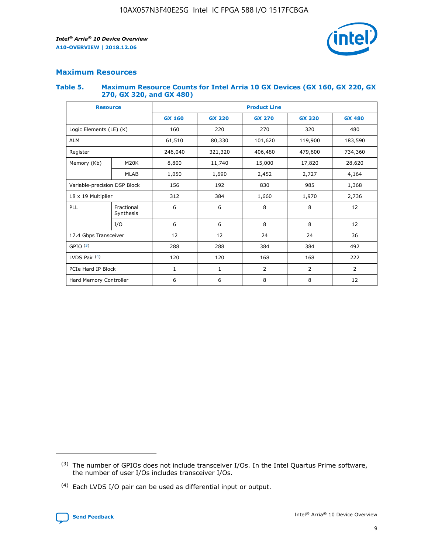

### **Maximum Resources**

#### **Table 5. Maximum Resource Counts for Intel Arria 10 GX Devices (GX 160, GX 220, GX 270, GX 320, and GX 480)**

| <b>Resource</b>              |                         | <b>Product Line</b> |                                                 |                    |                |                |  |  |
|------------------------------|-------------------------|---------------------|-------------------------------------------------|--------------------|----------------|----------------|--|--|
|                              |                         | <b>GX 160</b>       | <b>GX 220</b><br><b>GX 270</b><br><b>GX 320</b> |                    |                | <b>GX 480</b>  |  |  |
| Logic Elements (LE) (K)      |                         | 160                 | 220                                             | 270                | 320            | 480            |  |  |
| <b>ALM</b>                   |                         | 61,510              | 80,330                                          | 101,620            | 119,900        | 183,590        |  |  |
| Register                     |                         | 246,040             | 321,320                                         | 406,480<br>479,600 |                | 734,360        |  |  |
| Memory (Kb)                  | M <sub>20</sub> K       | 8,800               | 11,740                                          | 15,000             | 17,820         | 28,620         |  |  |
|                              | <b>MLAB</b>             | 1,050               | 1,690                                           | 2,452              | 2,727          | 4,164          |  |  |
| Variable-precision DSP Block |                         | 156                 | 192                                             | 830                | 985            | 1,368          |  |  |
| 18 x 19 Multiplier           |                         | 312                 | 384                                             | 1,660<br>1,970     |                | 2,736          |  |  |
| PLL                          | Fractional<br>Synthesis | 6                   | 6                                               | 8                  | 8              | 12             |  |  |
|                              | I/O                     | 6                   | 6                                               | 8                  | 8              | 12             |  |  |
| 17.4 Gbps Transceiver        |                         | 12                  | 12                                              | 24                 | 24             | 36             |  |  |
| GPIO <sup>(3)</sup>          |                         | 288                 | 288                                             | 384                | 384            |                |  |  |
| LVDS Pair $(4)$              |                         | 120                 | 120                                             | 168                | 168            | 222            |  |  |
| PCIe Hard IP Block           |                         | $\mathbf{1}$        | 1                                               | $\overline{2}$     | $\overline{2}$ | $\overline{2}$ |  |  |
| Hard Memory Controller       |                         | 6                   | 6                                               | 8                  | 8              |                |  |  |

<sup>(4)</sup> Each LVDS I/O pair can be used as differential input or output.



<sup>(3)</sup> The number of GPIOs does not include transceiver I/Os. In the Intel Quartus Prime software, the number of user I/Os includes transceiver I/Os.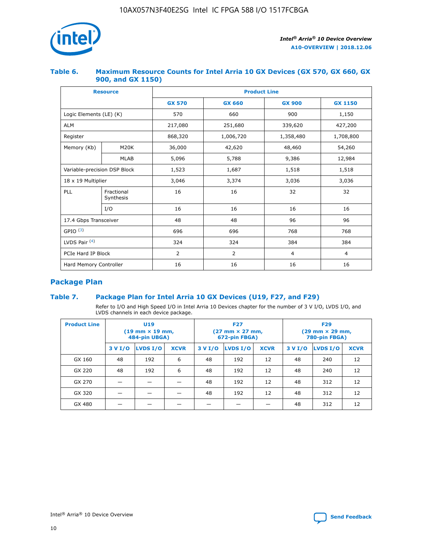

### **Table 6. Maximum Resource Counts for Intel Arria 10 GX Devices (GX 570, GX 660, GX 900, and GX 1150)**

|                              | <b>Resource</b>         | <b>Product Line</b> |                |                |                |  |  |  |
|------------------------------|-------------------------|---------------------|----------------|----------------|----------------|--|--|--|
|                              |                         | <b>GX 570</b>       | <b>GX 660</b>  | <b>GX 900</b>  | <b>GX 1150</b> |  |  |  |
| Logic Elements (LE) (K)      |                         | 570                 | 660            | 900            | 1,150          |  |  |  |
| <b>ALM</b>                   |                         | 217,080             | 251,680        | 339,620        | 427,200        |  |  |  |
| Register                     |                         | 868,320             | 1,006,720      | 1,358,480      | 1,708,800      |  |  |  |
| Memory (Kb)                  | <b>M20K</b>             | 36,000              | 42,620         | 48,460         | 54,260         |  |  |  |
|                              | <b>MLAB</b>             | 5,096               | 5,788<br>9,386 |                | 12,984         |  |  |  |
| Variable-precision DSP Block |                         | 1,523               | 1,687          | 1,518          | 1,518          |  |  |  |
| $18 \times 19$ Multiplier    |                         | 3,046               | 3,374          | 3,036          | 3,036          |  |  |  |
| PLL                          | Fractional<br>Synthesis | 16                  | 16             | 32             | 32             |  |  |  |
|                              | I/O                     | 16                  | 16             | 16             | 16             |  |  |  |
| 17.4 Gbps Transceiver        |                         | 48                  | 96<br>48       |                | 96             |  |  |  |
| GPIO <sup>(3)</sup>          |                         | 696                 | 696            | 768            | 768            |  |  |  |
| LVDS Pair $(4)$              |                         | 324                 | 324            | 384            | 384            |  |  |  |
| PCIe Hard IP Block           |                         | 2                   | 2              | $\overline{4}$ | $\overline{4}$ |  |  |  |
| Hard Memory Controller       |                         | 16                  | 16             | 16             | 16             |  |  |  |

### **Package Plan**

### **Table 7. Package Plan for Intel Arria 10 GX Devices (U19, F27, and F29)**

Refer to I/O and High Speed I/O in Intel Arria 10 Devices chapter for the number of 3 V I/O, LVDS I/O, and LVDS channels in each device package.

| <b>Product Line</b> | U <sub>19</sub><br>$(19 \text{ mm} \times 19 \text{ mm})$<br>484-pin UBGA) |          |             | <b>F27</b><br>(27 mm × 27 mm,<br>672-pin FBGA) |                 |             | <b>F29</b><br>(29 mm × 29 mm,<br>780-pin FBGA) |          |             |  |
|---------------------|----------------------------------------------------------------------------|----------|-------------|------------------------------------------------|-----------------|-------------|------------------------------------------------|----------|-------------|--|
|                     | 3 V I/O                                                                    | LVDS I/O | <b>XCVR</b> | 3 V I/O                                        | <b>LVDS I/O</b> | <b>XCVR</b> | 3 V I/O                                        | LVDS I/O | <b>XCVR</b> |  |
| GX 160              | 48                                                                         | 192      | 6           | 48                                             | 192             | 12          | 48                                             | 240      | 12          |  |
| GX 220              | 48                                                                         | 192      | 6           | 48                                             | 192             | 12          | 48                                             | 240      | 12          |  |
| GX 270              |                                                                            |          |             | 48                                             | 192             | 12          | 48                                             | 312      | 12          |  |
| GX 320              |                                                                            |          |             | 48                                             | 192             | 12          | 48                                             | 312      | 12          |  |
| GX 480              |                                                                            |          |             |                                                |                 |             | 48                                             | 312      | 12          |  |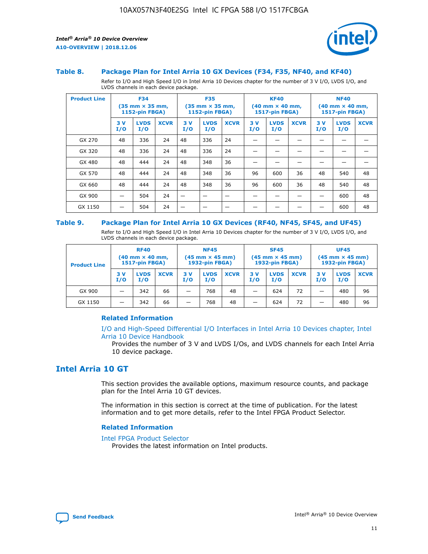

#### **Table 8. Package Plan for Intel Arria 10 GX Devices (F34, F35, NF40, and KF40)**

Refer to I/O and High Speed I/O in Intel Arria 10 Devices chapter for the number of 3 V I/O, LVDS I/O, and LVDS channels in each device package.

| <b>Product Line</b> | <b>F34</b><br>$(35 \text{ mm} \times 35 \text{ mm})$<br>1152-pin FBGA) |                    | <b>F35</b><br>$(35 \text{ mm} \times 35 \text{ mm})$<br><b>1152-pin FBGA)</b> |           | <b>KF40</b><br>$(40$ mm $\times$ 40 mm,<br>1517-pin FBGA) |             |           | <b>NF40</b><br>$(40$ mm $\times$ 40 mm,<br><b>1517-pin FBGA)</b> |             |            |                    |             |
|---------------------|------------------------------------------------------------------------|--------------------|-------------------------------------------------------------------------------|-----------|-----------------------------------------------------------|-------------|-----------|------------------------------------------------------------------|-------------|------------|--------------------|-------------|
|                     | 3V<br>I/O                                                              | <b>LVDS</b><br>I/O | <b>XCVR</b>                                                                   | 3V<br>I/O | <b>LVDS</b><br>I/O                                        | <b>XCVR</b> | 3V<br>I/O | <b>LVDS</b><br>I/O                                               | <b>XCVR</b> | 3 V<br>I/O | <b>LVDS</b><br>I/O | <b>XCVR</b> |
| GX 270              | 48                                                                     | 336                | 24                                                                            | 48        | 336                                                       | 24          |           |                                                                  |             |            |                    |             |
| GX 320              | 48                                                                     | 336                | 24                                                                            | 48        | 336                                                       | 24          |           |                                                                  |             |            |                    |             |
| GX 480              | 48                                                                     | 444                | 24                                                                            | 48        | 348                                                       | 36          |           |                                                                  |             |            |                    |             |
| GX 570              | 48                                                                     | 444                | 24                                                                            | 48        | 348                                                       | 36          | 96        | 600                                                              | 36          | 48         | 540                | 48          |
| GX 660              | 48                                                                     | 444                | 24                                                                            | 48        | 348                                                       | 36          | 96        | 600                                                              | 36          | 48         | 540                | 48          |
| GX 900              |                                                                        | 504                | 24                                                                            | -         |                                                           |             |           |                                                                  |             |            | 600                | 48          |
| GX 1150             |                                                                        | 504                | 24                                                                            |           |                                                           |             |           |                                                                  |             |            | 600                | 48          |

#### **Table 9. Package Plan for Intel Arria 10 GX Devices (RF40, NF45, SF45, and UF45)**

Refer to I/O and High Speed I/O in Intel Arria 10 Devices chapter for the number of 3 V I/O, LVDS I/O, and LVDS channels in each device package.

| <b>Product Line</b> | <b>RF40</b><br>$(40$ mm $\times$ 40 mm,<br>1517-pin FBGA) |                    |             | <b>NF45</b><br>$(45 \text{ mm} \times 45 \text{ mm})$<br><b>1932-pin FBGA)</b> |                    |             | <b>SF45</b><br>$(45 \text{ mm} \times 45 \text{ mm})$<br><b>1932-pin FBGA)</b> |                    |             | <b>UF45</b><br>$(45 \text{ mm} \times 45 \text{ mm})$<br><b>1932-pin FBGA)</b> |                    |             |
|---------------------|-----------------------------------------------------------|--------------------|-------------|--------------------------------------------------------------------------------|--------------------|-------------|--------------------------------------------------------------------------------|--------------------|-------------|--------------------------------------------------------------------------------|--------------------|-------------|
|                     | 3V<br>I/O                                                 | <b>LVDS</b><br>I/O | <b>XCVR</b> | 3 V<br>I/O                                                                     | <b>LVDS</b><br>I/O | <b>XCVR</b> | 3 V<br>I/O                                                                     | <b>LVDS</b><br>I/O | <b>XCVR</b> | 3V<br>I/O                                                                      | <b>LVDS</b><br>I/O | <b>XCVR</b> |
| GX 900              |                                                           | 342                | 66          | _                                                                              | 768                | 48          |                                                                                | 624                | 72          |                                                                                | 480                | 96          |
| GX 1150             |                                                           | 342                | 66          | _                                                                              | 768                | 48          |                                                                                | 624                | 72          |                                                                                | 480                | 96          |

### **Related Information**

[I/O and High-Speed Differential I/O Interfaces in Intel Arria 10 Devices chapter, Intel](https://www.intel.com/content/www/us/en/programmable/documentation/sam1403482614086.html#sam1403482030321) [Arria 10 Device Handbook](https://www.intel.com/content/www/us/en/programmable/documentation/sam1403482614086.html#sam1403482030321)

Provides the number of 3 V and LVDS I/Os, and LVDS channels for each Intel Arria 10 device package.

### **Intel Arria 10 GT**

This section provides the available options, maximum resource counts, and package plan for the Intel Arria 10 GT devices.

The information in this section is correct at the time of publication. For the latest information and to get more details, refer to the Intel FPGA Product Selector.

#### **Related Information**

#### [Intel FPGA Product Selector](http://www.altera.com/products/selector/psg-selector.html)

Provides the latest information on Intel products.

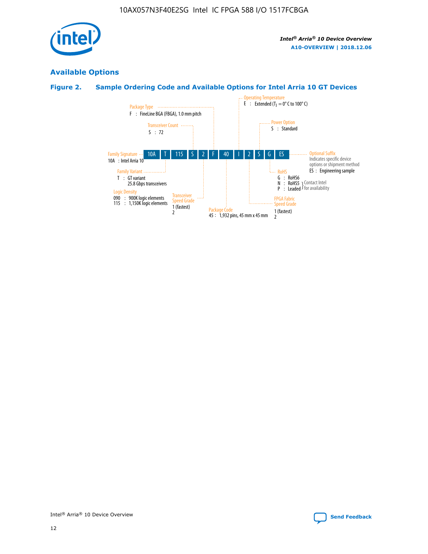

### **Available Options**

### **Figure 2. Sample Ordering Code and Available Options for Intel Arria 10 GT Devices**

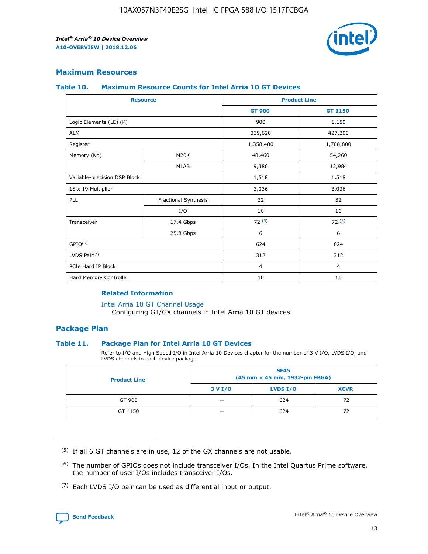

### **Maximum Resources**

#### **Table 10. Maximum Resource Counts for Intel Arria 10 GT Devices**

| <b>Resource</b>              |                      |                | <b>Product Line</b> |  |
|------------------------------|----------------------|----------------|---------------------|--|
|                              |                      | <b>GT 900</b>  | <b>GT 1150</b>      |  |
| Logic Elements (LE) (K)      |                      | 900            | 1,150               |  |
| <b>ALM</b>                   |                      | 339,620        | 427,200             |  |
| Register                     |                      | 1,358,480      | 1,708,800           |  |
| Memory (Kb)                  | M20K                 | 48,460         | 54,260              |  |
|                              | <b>MLAB</b>          | 9,386          | 12,984              |  |
| Variable-precision DSP Block |                      | 1,518          | 1,518               |  |
| 18 x 19 Multiplier           |                      | 3,036          | 3,036               |  |
| <b>PLL</b>                   | Fractional Synthesis | 32             | 32                  |  |
|                              | I/O                  | 16             | 16                  |  |
| Transceiver                  | 17.4 Gbps            | 72(5)          | 72(5)               |  |
|                              | 25.8 Gbps            | 6              | 6                   |  |
| GPIO <sup>(6)</sup>          |                      | 624            | 624                 |  |
| LVDS Pair $(7)$              |                      | 312            | 312                 |  |
| PCIe Hard IP Block           |                      | $\overline{4}$ | $\overline{4}$      |  |
| Hard Memory Controller       |                      | 16             | 16                  |  |

### **Related Information**

#### [Intel Arria 10 GT Channel Usage](https://www.intel.com/content/www/us/en/programmable/documentation/nik1398707230472.html#nik1398707008178)

Configuring GT/GX channels in Intel Arria 10 GT devices.

### **Package Plan**

### **Table 11. Package Plan for Intel Arria 10 GT Devices**

Refer to I/O and High Speed I/O in Intel Arria 10 Devices chapter for the number of 3 V I/O, LVDS I/O, and LVDS channels in each device package.

| <b>Product Line</b> | <b>SF45</b><br>(45 mm × 45 mm, 1932-pin FBGA) |                 |             |  |  |  |
|---------------------|-----------------------------------------------|-----------------|-------------|--|--|--|
|                     | 3 V I/O                                       | <b>LVDS I/O</b> | <b>XCVR</b> |  |  |  |
| GT 900              |                                               | 624             | 72          |  |  |  |
| GT 1150             |                                               | 624             | 72          |  |  |  |

<sup>(7)</sup> Each LVDS I/O pair can be used as differential input or output.



 $(5)$  If all 6 GT channels are in use, 12 of the GX channels are not usable.

<sup>(6)</sup> The number of GPIOs does not include transceiver I/Os. In the Intel Quartus Prime software, the number of user I/Os includes transceiver I/Os.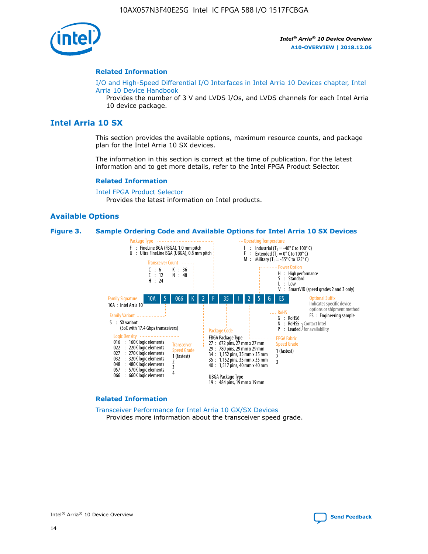

#### **Related Information**

[I/O and High-Speed Differential I/O Interfaces in Intel Arria 10 Devices chapter, Intel](https://www.intel.com/content/www/us/en/programmable/documentation/sam1403482614086.html#sam1403482030321) [Arria 10 Device Handbook](https://www.intel.com/content/www/us/en/programmable/documentation/sam1403482614086.html#sam1403482030321)

Provides the number of 3 V and LVDS I/Os, and LVDS channels for each Intel Arria 10 device package.

### **Intel Arria 10 SX**

This section provides the available options, maximum resource counts, and package plan for the Intel Arria 10 SX devices.

The information in this section is correct at the time of publication. For the latest information and to get more details, refer to the Intel FPGA Product Selector.

#### **Related Information**

[Intel FPGA Product Selector](http://www.altera.com/products/selector/psg-selector.html) Provides the latest information on Intel products.

### **Available Options**

#### **Figure 3. Sample Ordering Code and Available Options for Intel Arria 10 SX Devices**



#### **Related Information**

[Transceiver Performance for Intel Arria 10 GX/SX Devices](https://www.intel.com/content/www/us/en/programmable/documentation/mcn1413182292568.html#mcn1413213965502) Provides more information about the transceiver speed grade.

Intel® Arria® 10 Device Overview **[Send Feedback](mailto:FPGAtechdocfeedback@intel.com?subject=Feedback%20on%20Intel%20Arria%2010%20Device%20Overview%20(A10-OVERVIEW%202018.12.06)&body=We%20appreciate%20your%20feedback.%20In%20your%20comments,%20also%20specify%20the%20page%20number%20or%20paragraph.%20Thank%20you.)**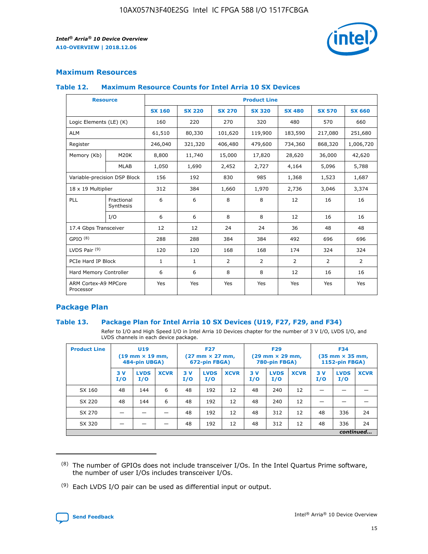

### **Maximum Resources**

### **Table 12. Maximum Resource Counts for Intel Arria 10 SX Devices**

|                                   | <b>Resource</b>         | <b>Product Line</b> |               |                |                |                |                |                |  |  |  |
|-----------------------------------|-------------------------|---------------------|---------------|----------------|----------------|----------------|----------------|----------------|--|--|--|
|                                   |                         | <b>SX 160</b>       | <b>SX 220</b> | <b>SX 270</b>  | <b>SX 320</b>  | <b>SX 480</b>  | <b>SX 570</b>  | <b>SX 660</b>  |  |  |  |
| Logic Elements (LE) (K)           |                         | 160                 | 220           | 270            | 320            | 480            | 570            | 660            |  |  |  |
| <b>ALM</b>                        |                         | 61,510              | 80,330        | 101,620        | 119,900        | 183,590        | 217,080        | 251,680        |  |  |  |
| Register                          |                         | 246,040             | 321,320       | 406,480        | 479,600        | 734,360        | 868,320        | 1,006,720      |  |  |  |
| Memory (Kb)                       | M <sub>20</sub> K       | 8,800               | 11,740        | 15,000         | 17,820         | 28,620         | 36,000         | 42,620         |  |  |  |
|                                   | <b>MLAB</b>             | 1,050               | 1,690         | 2,452          | 2,727          | 4,164          | 5,096          | 5,788          |  |  |  |
| Variable-precision DSP Block      |                         | 156                 | 192           | 830            | 985            | 1,368          | 1,523          | 1,687          |  |  |  |
| 18 x 19 Multiplier                |                         | 312                 | 384           | 1,660          | 1,970          | 2,736          | 3,046          | 3,374          |  |  |  |
| <b>PLL</b>                        | Fractional<br>Synthesis | 6                   | 6             | 8              | 8              | 12             | 16             | 16             |  |  |  |
|                                   | I/O                     | 6                   | 6             | 8              | 8              | 12             | 16             | 16             |  |  |  |
| 17.4 Gbps Transceiver             |                         | 12                  | 12            | 24             | 24             | 36             | 48             | 48             |  |  |  |
| GPIO <sup>(8)</sup>               |                         | 288                 | 288           | 384            | 384            | 492            | 696            | 696            |  |  |  |
| LVDS Pair $(9)$                   |                         | 120                 | 120           | 168            | 168            | 174            | 324            | 324            |  |  |  |
| PCIe Hard IP Block                |                         | $\mathbf{1}$        | $\mathbf{1}$  | $\overline{2}$ | $\overline{2}$ | $\overline{2}$ | $\overline{2}$ | $\overline{2}$ |  |  |  |
| Hard Memory Controller            |                         | 6                   | 6             | 8              | 8              | 12             | 16             | 16             |  |  |  |
| ARM Cortex-A9 MPCore<br>Processor |                         | Yes                 | Yes           | Yes            | Yes            | Yes            | Yes            | Yes            |  |  |  |

### **Package Plan**

### **Table 13. Package Plan for Intel Arria 10 SX Devices (U19, F27, F29, and F34)**

Refer to I/O and High Speed I/O in Intel Arria 10 Devices chapter for the number of 3 V I/O, LVDS I/O, and LVDS channels in each device package.

| <b>Product Line</b> | U <sub>19</sub><br>$(19 \text{ mm} \times 19 \text{ mm})$<br>484-pin UBGA) |                    |             | <b>F27</b><br>$(27 \text{ mm} \times 27 \text{ mm})$ .<br>672-pin FBGA) |                    | <b>F29</b><br>$(29 \text{ mm} \times 29 \text{ mm})$ .<br>780-pin FBGA) |            |                    | <b>F34</b><br>$(35 \text{ mm} \times 35 \text{ mm})$<br><b>1152-pin FBGA)</b> |           |                    |             |
|---------------------|----------------------------------------------------------------------------|--------------------|-------------|-------------------------------------------------------------------------|--------------------|-------------------------------------------------------------------------|------------|--------------------|-------------------------------------------------------------------------------|-----------|--------------------|-------------|
|                     | 3V<br>I/O                                                                  | <b>LVDS</b><br>I/O | <b>XCVR</b> | 3V<br>I/O                                                               | <b>LVDS</b><br>I/O | <b>XCVR</b>                                                             | 3 V<br>I/O | <b>LVDS</b><br>I/O | <b>XCVR</b>                                                                   | 3V<br>I/O | <b>LVDS</b><br>I/O | <b>XCVR</b> |
| SX 160              | 48                                                                         | 144                | 6           | 48                                                                      | 192                | 12                                                                      | 48         | 240                | 12                                                                            |           |                    |             |
| SX 220              | 48                                                                         | 144                | 6           | 48                                                                      | 192                | 12                                                                      | 48         | 240                | 12                                                                            |           |                    |             |
| SX 270              |                                                                            |                    |             | 48                                                                      | 192                | 12                                                                      | 48         | 312                | 12                                                                            | 48        | 336                | 24          |
| SX 320              |                                                                            |                    |             | 48                                                                      | 192                | 12                                                                      | 48         | 312                | 12                                                                            | 48        | 336                | 24          |
|                     |                                                                            |                    |             |                                                                         |                    |                                                                         |            |                    |                                                                               |           |                    | continued   |

 $(8)$  The number of GPIOs does not include transceiver I/Os. In the Intel Quartus Prime software, the number of user I/Os includes transceiver I/Os.

 $(9)$  Each LVDS I/O pair can be used as differential input or output.

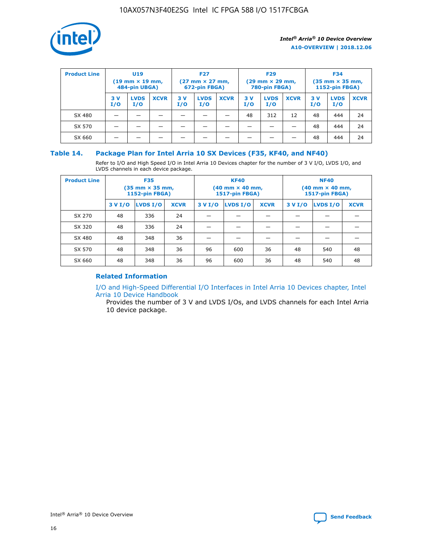

| <b>Product Line</b> | U <sub>19</sub><br>$(19$ mm $\times$ 19 mm,<br>484-pin UBGA) |                    | <b>F27</b><br>$(27 \text{ mm} \times 27 \text{ mm})$<br>672-pin FBGA) |           |                    | <b>F29</b><br>$(29 \text{ mm} \times 29 \text{ mm})$<br>780-pin FBGA) |           |                    | <b>F34</b><br>$(35$ mm $\times$ 35 mm,<br><b>1152-pin FBGA)</b> |           |                    |             |
|---------------------|--------------------------------------------------------------|--------------------|-----------------------------------------------------------------------|-----------|--------------------|-----------------------------------------------------------------------|-----------|--------------------|-----------------------------------------------------------------|-----------|--------------------|-------------|
|                     | 3 V<br>I/O                                                   | <b>LVDS</b><br>I/O | <b>XCVR</b>                                                           | 3V<br>I/O | <b>LVDS</b><br>I/O | <b>XCVR</b>                                                           | 3V<br>I/O | <b>LVDS</b><br>I/O | <b>XCVR</b>                                                     | 3V<br>I/O | <b>LVDS</b><br>I/O | <b>XCVR</b> |
| SX 480              |                                                              |                    |                                                                       |           |                    |                                                                       | 48        | 312                | 12                                                              | 48        | 444                | 24          |
| SX 570              |                                                              |                    |                                                                       |           |                    |                                                                       |           |                    |                                                                 | 48        | 444                | 24          |
| SX 660              |                                                              |                    |                                                                       |           |                    |                                                                       |           |                    |                                                                 | 48        | 444                | 24          |

### **Table 14. Package Plan for Intel Arria 10 SX Devices (F35, KF40, and NF40)**

Refer to I/O and High Speed I/O in Intel Arria 10 Devices chapter for the number of 3 V I/O, LVDS I/O, and LVDS channels in each device package.

| <b>Product Line</b> | <b>F35</b><br>$(35 \text{ mm} \times 35 \text{ mm})$<br><b>1152-pin FBGA)</b> |          |             |                                           | <b>KF40</b><br>(40 mm × 40 mm,<br>1517-pin FBGA) |    | <b>NF40</b><br>$(40 \text{ mm} \times 40 \text{ mm})$<br>1517-pin FBGA) |          |             |  |
|---------------------|-------------------------------------------------------------------------------|----------|-------------|-------------------------------------------|--------------------------------------------------|----|-------------------------------------------------------------------------|----------|-------------|--|
|                     | 3 V I/O                                                                       | LVDS I/O | <b>XCVR</b> | <b>LVDS I/O</b><br><b>XCVR</b><br>3 V I/O |                                                  |    | 3 V I/O                                                                 | LVDS I/O | <b>XCVR</b> |  |
| SX 270              | 48                                                                            | 336      | 24          |                                           |                                                  |    |                                                                         |          |             |  |
| SX 320              | 48                                                                            | 336      | 24          |                                           |                                                  |    |                                                                         |          |             |  |
| SX 480              | 48                                                                            | 348      | 36          |                                           |                                                  |    |                                                                         |          |             |  |
| SX 570              | 48                                                                            | 348      | 36          | 96                                        | 600                                              | 36 | 48                                                                      | 540      | 48          |  |
| SX 660              | 48                                                                            | 348      | 36          | 96                                        | 600                                              | 36 | 48                                                                      | 540      | 48          |  |

### **Related Information**

[I/O and High-Speed Differential I/O Interfaces in Intel Arria 10 Devices chapter, Intel](https://www.intel.com/content/www/us/en/programmable/documentation/sam1403482614086.html#sam1403482030321) [Arria 10 Device Handbook](https://www.intel.com/content/www/us/en/programmable/documentation/sam1403482614086.html#sam1403482030321)

Provides the number of 3 V and LVDS I/Os, and LVDS channels for each Intel Arria 10 device package.

Intel<sup>®</sup> Arria<sup>®</sup> 10 Device Overview **[Send Feedback](mailto:FPGAtechdocfeedback@intel.com?subject=Feedback%20on%20Intel%20Arria%2010%20Device%20Overview%20(A10-OVERVIEW%202018.12.06)&body=We%20appreciate%20your%20feedback.%20In%20your%20comments,%20also%20specify%20the%20page%20number%20or%20paragraph.%20Thank%20you.)** Send Feedback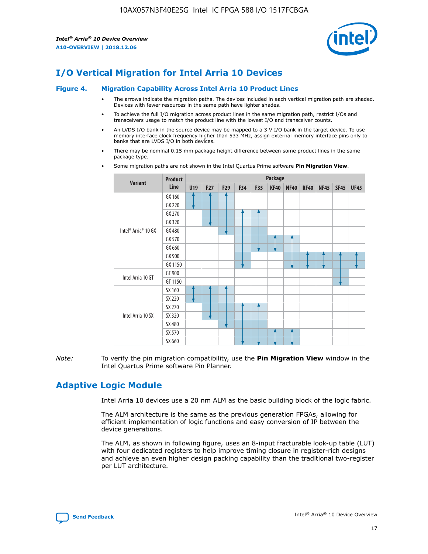

### **I/O Vertical Migration for Intel Arria 10 Devices**

#### **Figure 4. Migration Capability Across Intel Arria 10 Product Lines**

- The arrows indicate the migration paths. The devices included in each vertical migration path are shaded. Devices with fewer resources in the same path have lighter shades.
- To achieve the full I/O migration across product lines in the same migration path, restrict I/Os and transceivers usage to match the product line with the lowest I/O and transceiver counts.
- An LVDS I/O bank in the source device may be mapped to a 3 V I/O bank in the target device. To use memory interface clock frequency higher than 533 MHz, assign external memory interface pins only to banks that are LVDS I/O in both devices.
- There may be nominal 0.15 mm package height difference between some product lines in the same package type.
	- **Variant Product Line Package U19 F27 F29 F34 F35 KF40 NF40 RF40 NF45 SF45 UF45** Intel® Arria® 10 GX GX 160 GX 220 GX 270 GX 320 GX 480 GX 570 GX 660 GX 900 GX 1150 Intel Arria 10 GT GT 900 GT 1150 Intel Arria 10 SX SX 160 SX 220 SX 270 SX 320 SX 480 SX 570 SX 660
- Some migration paths are not shown in the Intel Quartus Prime software **Pin Migration View**.

*Note:* To verify the pin migration compatibility, use the **Pin Migration View** window in the Intel Quartus Prime software Pin Planner.

### **Adaptive Logic Module**

Intel Arria 10 devices use a 20 nm ALM as the basic building block of the logic fabric.

The ALM architecture is the same as the previous generation FPGAs, allowing for efficient implementation of logic functions and easy conversion of IP between the device generations.

The ALM, as shown in following figure, uses an 8-input fracturable look-up table (LUT) with four dedicated registers to help improve timing closure in register-rich designs and achieve an even higher design packing capability than the traditional two-register per LUT architecture.

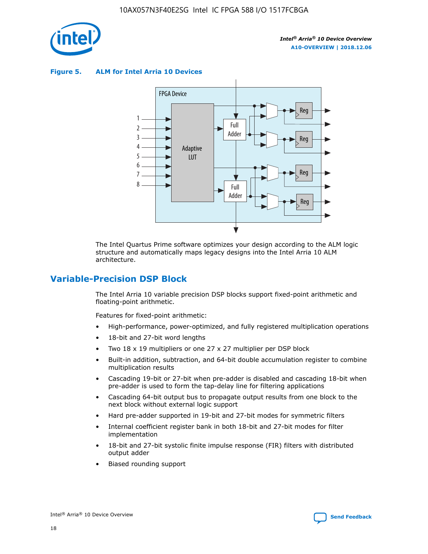

**Figure 5. ALM for Intel Arria 10 Devices**



The Intel Quartus Prime software optimizes your design according to the ALM logic structure and automatically maps legacy designs into the Intel Arria 10 ALM architecture.

### **Variable-Precision DSP Block**

The Intel Arria 10 variable precision DSP blocks support fixed-point arithmetic and floating-point arithmetic.

Features for fixed-point arithmetic:

- High-performance, power-optimized, and fully registered multiplication operations
- 18-bit and 27-bit word lengths
- Two 18 x 19 multipliers or one 27 x 27 multiplier per DSP block
- Built-in addition, subtraction, and 64-bit double accumulation register to combine multiplication results
- Cascading 19-bit or 27-bit when pre-adder is disabled and cascading 18-bit when pre-adder is used to form the tap-delay line for filtering applications
- Cascading 64-bit output bus to propagate output results from one block to the next block without external logic support
- Hard pre-adder supported in 19-bit and 27-bit modes for symmetric filters
- Internal coefficient register bank in both 18-bit and 27-bit modes for filter implementation
- 18-bit and 27-bit systolic finite impulse response (FIR) filters with distributed output adder
- Biased rounding support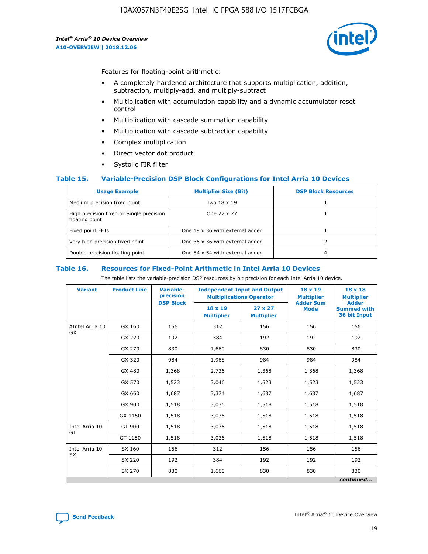

Features for floating-point arithmetic:

- A completely hardened architecture that supports multiplication, addition, subtraction, multiply-add, and multiply-subtract
- Multiplication with accumulation capability and a dynamic accumulator reset control
- Multiplication with cascade summation capability
- Multiplication with cascade subtraction capability
- Complex multiplication
- Direct vector dot product
- Systolic FIR filter

### **Table 15. Variable-Precision DSP Block Configurations for Intel Arria 10 Devices**

| <b>Usage Example</b>                                       | <b>Multiplier Size (Bit)</b>    | <b>DSP Block Resources</b> |
|------------------------------------------------------------|---------------------------------|----------------------------|
| Medium precision fixed point                               | Two 18 x 19                     |                            |
| High precision fixed or Single precision<br>floating point | One 27 x 27                     |                            |
| Fixed point FFTs                                           | One 19 x 36 with external adder |                            |
| Very high precision fixed point                            | One 36 x 36 with external adder |                            |
| Double precision floating point                            | One 54 x 54 with external adder | 4                          |

#### **Table 16. Resources for Fixed-Point Arithmetic in Intel Arria 10 Devices**

The table lists the variable-precision DSP resources by bit precision for each Intel Arria 10 device.

| <b>Variant</b>  | <b>Product Line</b> | Variable-<br>precision<br><b>DSP Block</b> | <b>Independent Input and Output</b><br><b>Multiplications Operator</b> |                                     | 18 x 19<br><b>Multiplier</b><br><b>Adder Sum</b> | $18 \times 18$<br><b>Multiplier</b><br><b>Adder</b> |
|-----------------|---------------------|--------------------------------------------|------------------------------------------------------------------------|-------------------------------------|--------------------------------------------------|-----------------------------------------------------|
|                 |                     |                                            | 18 x 19<br><b>Multiplier</b>                                           | $27 \times 27$<br><b>Multiplier</b> | <b>Mode</b>                                      | <b>Summed with</b><br>36 bit Input                  |
| AIntel Arria 10 | GX 160              | 156                                        | 312                                                                    | 156                                 | 156                                              | 156                                                 |
| GX              | GX 220              | 192                                        | 384                                                                    | 192                                 | 192                                              | 192                                                 |
|                 | GX 270              | 830                                        | 1,660                                                                  | 830                                 | 830                                              | 830                                                 |
|                 | GX 320              | 984                                        | 1,968                                                                  | 984                                 | 984                                              | 984                                                 |
|                 | GX 480              | 1,368                                      | 2,736                                                                  | 1,368                               | 1,368                                            | 1,368                                               |
|                 | GX 570              | 1,523                                      | 3,046                                                                  | 1,523                               | 1,523                                            | 1,523                                               |
|                 | GX 660              | 1,687                                      | 3,374                                                                  | 1,687                               | 1,687                                            | 1,687                                               |
|                 | GX 900              | 1,518                                      | 3,036                                                                  | 1,518                               | 1,518                                            | 1,518                                               |
|                 | GX 1150             | 1,518                                      | 3,036                                                                  | 1,518                               | 1,518                                            | 1,518                                               |
| Intel Arria 10  | GT 900              | 1,518                                      | 3,036                                                                  | 1,518                               | 1,518                                            | 1,518                                               |
| GT              | GT 1150             | 1,518                                      | 3,036                                                                  | 1,518                               | 1,518                                            | 1,518                                               |
| Intel Arria 10  | SX 160              | 156                                        | 312                                                                    | 156                                 | 156                                              | 156                                                 |
| <b>SX</b>       | SX 220              | 192                                        | 384                                                                    | 192                                 | 192                                              | 192                                                 |
|                 | SX 270              | 830                                        | 1,660                                                                  | 830                                 | 830                                              | 830                                                 |
|                 |                     |                                            |                                                                        |                                     |                                                  | continued                                           |

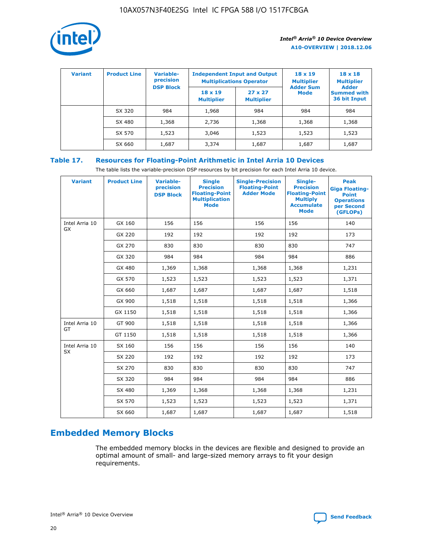

| <b>Variant</b> | <b>Product Line</b> | Variable-<br>precision | <b>Independent Input and Output</b><br><b>Multiplications Operator</b> |                                     | $18 \times 19$<br><b>Multiplier</b> | $18 \times 18$<br><b>Multiplier</b>                |
|----------------|---------------------|------------------------|------------------------------------------------------------------------|-------------------------------------|-------------------------------------|----------------------------------------------------|
|                |                     | <b>DSP Block</b>       | $18 \times 19$<br><b>Multiplier</b>                                    | $27 \times 27$<br><b>Multiplier</b> | <b>Adder Sum</b><br><b>Mode</b>     | <b>Adder</b><br><b>Summed with</b><br>36 bit Input |
|                | SX 320              | 984                    | 1,968                                                                  | 984                                 | 984                                 | 984                                                |
|                | SX 480              | 1,368                  | 2,736                                                                  | 1,368                               | 1,368                               | 1,368                                              |
|                | SX 570              | 1,523                  | 3,046                                                                  | 1,523                               | 1,523                               | 1,523                                              |
|                | SX 660              | 1,687                  | 3,374                                                                  | 1,687                               | 1,687                               | 1,687                                              |

### **Table 17. Resources for Floating-Point Arithmetic in Intel Arria 10 Devices**

The table lists the variable-precision DSP resources by bit precision for each Intel Arria 10 device.

| <b>Variant</b> | <b>Product Line</b> | <b>Variable-</b><br>precision<br><b>DSP Block</b> | <b>Single</b><br><b>Precision</b><br><b>Floating-Point</b><br><b>Multiplication</b><br><b>Mode</b> | <b>Single-Precision</b><br><b>Floating-Point</b><br><b>Adder Mode</b> | Single-<br><b>Precision</b><br><b>Floating-Point</b><br><b>Multiply</b><br><b>Accumulate</b><br><b>Mode</b> | <b>Peak</b><br><b>Giga Floating-</b><br><b>Point</b><br><b>Operations</b><br>per Second<br>(GFLOPs) |
|----------------|---------------------|---------------------------------------------------|----------------------------------------------------------------------------------------------------|-----------------------------------------------------------------------|-------------------------------------------------------------------------------------------------------------|-----------------------------------------------------------------------------------------------------|
| Intel Arria 10 | GX 160              | 156                                               | 156                                                                                                | 156                                                                   | 156                                                                                                         | 140                                                                                                 |
| GX             | GX 220              | 192                                               | 192                                                                                                | 192                                                                   | 192                                                                                                         | 173                                                                                                 |
|                | GX 270              | 830                                               | 830                                                                                                | 830                                                                   | 830                                                                                                         | 747                                                                                                 |
|                | GX 320              | 984                                               | 984                                                                                                | 984                                                                   | 984                                                                                                         | 886                                                                                                 |
|                | GX 480              | 1,369                                             | 1,368                                                                                              | 1,368                                                                 | 1,368                                                                                                       | 1,231                                                                                               |
|                | GX 570              | 1,523                                             | 1,523                                                                                              | 1,523                                                                 | 1,523                                                                                                       | 1,371                                                                                               |
|                | GX 660              | 1,687                                             | 1,687                                                                                              | 1,687                                                                 | 1,687                                                                                                       | 1,518                                                                                               |
|                | GX 900              | 1,518                                             | 1,518                                                                                              | 1,518                                                                 | 1,518                                                                                                       | 1,366                                                                                               |
|                | GX 1150             | 1,518                                             | 1,518                                                                                              | 1,518                                                                 | 1,518                                                                                                       | 1,366                                                                                               |
| Intel Arria 10 | GT 900              | 1,518                                             | 1,518                                                                                              | 1,518                                                                 | 1,518                                                                                                       | 1,366                                                                                               |
| GT             | GT 1150             | 1,518                                             | 1,518                                                                                              | 1,518                                                                 | 1,518                                                                                                       | 1,366                                                                                               |
| Intel Arria 10 | SX 160              | 156                                               | 156                                                                                                | 156                                                                   | 156                                                                                                         | 140                                                                                                 |
| <b>SX</b>      | SX 220              | 192                                               | 192                                                                                                | 192                                                                   | 192                                                                                                         | 173                                                                                                 |
|                | SX 270              | 830                                               | 830                                                                                                | 830                                                                   | 830                                                                                                         | 747                                                                                                 |
|                | SX 320              | 984                                               | 984                                                                                                | 984                                                                   | 984                                                                                                         | 886                                                                                                 |
|                | SX 480              | 1,369                                             | 1,368                                                                                              | 1,368                                                                 | 1,368                                                                                                       | 1,231                                                                                               |
|                | SX 570              | 1,523                                             | 1,523                                                                                              | 1,523                                                                 | 1,523                                                                                                       | 1,371                                                                                               |
|                | SX 660              | 1,687                                             | 1,687                                                                                              | 1,687                                                                 | 1,687                                                                                                       | 1,518                                                                                               |

### **Embedded Memory Blocks**

The embedded memory blocks in the devices are flexible and designed to provide an optimal amount of small- and large-sized memory arrays to fit your design requirements.

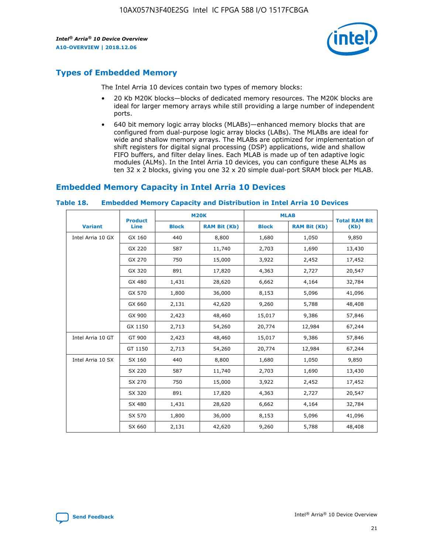

### **Types of Embedded Memory**

The Intel Arria 10 devices contain two types of memory blocks:

- 20 Kb M20K blocks—blocks of dedicated memory resources. The M20K blocks are ideal for larger memory arrays while still providing a large number of independent ports.
- 640 bit memory logic array blocks (MLABs)—enhanced memory blocks that are configured from dual-purpose logic array blocks (LABs). The MLABs are ideal for wide and shallow memory arrays. The MLABs are optimized for implementation of shift registers for digital signal processing (DSP) applications, wide and shallow FIFO buffers, and filter delay lines. Each MLAB is made up of ten adaptive logic modules (ALMs). In the Intel Arria 10 devices, you can configure these ALMs as ten 32 x 2 blocks, giving you one 32 x 20 simple dual-port SRAM block per MLAB.

### **Embedded Memory Capacity in Intel Arria 10 Devices**

|                   | <b>Product</b> |              | <b>M20K</b>         |              | <b>MLAB</b>         | <b>Total RAM Bit</b> |
|-------------------|----------------|--------------|---------------------|--------------|---------------------|----------------------|
| <b>Variant</b>    | Line           | <b>Block</b> | <b>RAM Bit (Kb)</b> | <b>Block</b> | <b>RAM Bit (Kb)</b> | (Kb)                 |
| Intel Arria 10 GX | GX 160         | 440          | 8,800               | 1,680        | 1,050               | 9,850                |
|                   | GX 220         | 587          | 11,740              | 2,703        | 1,690               | 13,430               |
|                   | GX 270         | 750          | 15,000              | 3,922        | 2,452               | 17,452               |
|                   | GX 320         | 891          | 17,820              | 4,363        | 2,727               | 20,547               |
|                   | GX 480         | 1,431        | 28,620              | 6,662        | 4,164               | 32,784               |
|                   | GX 570         | 1,800        | 36,000              | 8,153        | 5,096               | 41,096               |
|                   | GX 660         | 2,131        | 42,620              | 9,260        | 5,788               | 48,408               |
|                   | GX 900         | 2,423        | 48,460              | 15,017       | 9,386               | 57,846               |
|                   | GX 1150        | 2,713        | 54,260              | 20,774       | 12,984              | 67,244               |
| Intel Arria 10 GT | GT 900         | 2,423        | 48,460              | 15,017       | 9,386               | 57,846               |
|                   | GT 1150        | 2,713        | 54,260              | 20,774       | 12,984              | 67,244               |
| Intel Arria 10 SX | SX 160         | 440          | 8,800               | 1,680        | 1,050               | 9,850                |
|                   | SX 220         | 587          | 11,740              | 2,703        | 1,690               | 13,430               |
|                   | SX 270         | 750          | 15,000              | 3,922        | 2,452               | 17,452               |
|                   | SX 320         | 891          | 17,820              | 4,363        | 2,727               | 20,547               |
|                   | SX 480         | 1,431        | 28,620              | 6,662        | 4,164               | 32,784               |
|                   | SX 570         | 1,800        | 36,000              | 8,153        | 5,096               | 41,096               |
|                   | SX 660         | 2,131        | 42,620              | 9,260        | 5,788               | 48,408               |

#### **Table 18. Embedded Memory Capacity and Distribution in Intel Arria 10 Devices**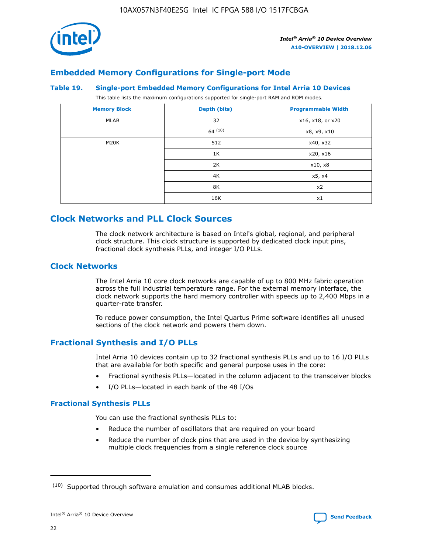

### **Embedded Memory Configurations for Single-port Mode**

#### **Table 19. Single-port Embedded Memory Configurations for Intel Arria 10 Devices**

This table lists the maximum configurations supported for single-port RAM and ROM modes.

| <b>Memory Block</b> | Depth (bits) | <b>Programmable Width</b> |
|---------------------|--------------|---------------------------|
| MLAB                | 32           | x16, x18, or x20          |
|                     | 64(10)       | x8, x9, x10               |
| M20K                | 512          | x40, x32                  |
|                     | 1K           | x20, x16                  |
|                     | 2K           | x10, x8                   |
|                     | 4K           | x5, x4                    |
|                     | 8K           | x2                        |
|                     | 16K          | x1                        |

### **Clock Networks and PLL Clock Sources**

The clock network architecture is based on Intel's global, regional, and peripheral clock structure. This clock structure is supported by dedicated clock input pins, fractional clock synthesis PLLs, and integer I/O PLLs.

### **Clock Networks**

The Intel Arria 10 core clock networks are capable of up to 800 MHz fabric operation across the full industrial temperature range. For the external memory interface, the clock network supports the hard memory controller with speeds up to 2,400 Mbps in a quarter-rate transfer.

To reduce power consumption, the Intel Quartus Prime software identifies all unused sections of the clock network and powers them down.

### **Fractional Synthesis and I/O PLLs**

Intel Arria 10 devices contain up to 32 fractional synthesis PLLs and up to 16 I/O PLLs that are available for both specific and general purpose uses in the core:

- Fractional synthesis PLLs—located in the column adjacent to the transceiver blocks
- I/O PLLs—located in each bank of the 48 I/Os

### **Fractional Synthesis PLLs**

You can use the fractional synthesis PLLs to:

- Reduce the number of oscillators that are required on your board
- Reduce the number of clock pins that are used in the device by synthesizing multiple clock frequencies from a single reference clock source

<sup>(10)</sup> Supported through software emulation and consumes additional MLAB blocks.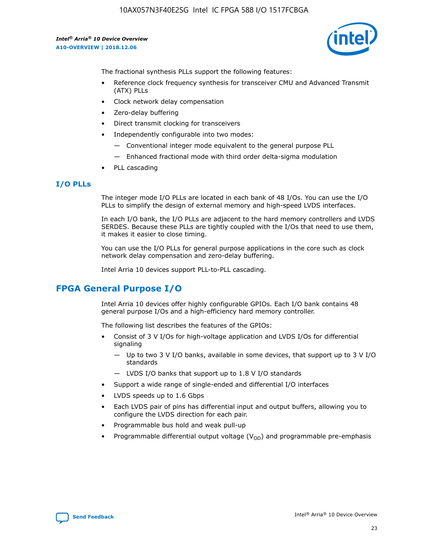

The fractional synthesis PLLs support the following features:

- Reference clock frequency synthesis for transceiver CMU and Advanced Transmit (ATX) PLLs
- Clock network delay compensation
- Zero-delay buffering
- Direct transmit clocking for transceivers
- Independently configurable into two modes:
	- Conventional integer mode equivalent to the general purpose PLL
	- Enhanced fractional mode with third order delta-sigma modulation
- PLL cascading

### **I/O PLLs**

The integer mode I/O PLLs are located in each bank of 48 I/Os. You can use the I/O PLLs to simplify the design of external memory and high-speed LVDS interfaces.

In each I/O bank, the I/O PLLs are adjacent to the hard memory controllers and LVDS SERDES. Because these PLLs are tightly coupled with the I/Os that need to use them, it makes it easier to close timing.

You can use the I/O PLLs for general purpose applications in the core such as clock network delay compensation and zero-delay buffering.

Intel Arria 10 devices support PLL-to-PLL cascading.

### **FPGA General Purpose I/O**

Intel Arria 10 devices offer highly configurable GPIOs. Each I/O bank contains 48 general purpose I/Os and a high-efficiency hard memory controller.

The following list describes the features of the GPIOs:

- Consist of 3 V I/Os for high-voltage application and LVDS I/Os for differential signaling
	- Up to two 3 V I/O banks, available in some devices, that support up to 3 V I/O standards
	- LVDS I/O banks that support up to 1.8 V I/O standards
- Support a wide range of single-ended and differential I/O interfaces
- LVDS speeds up to 1.6 Gbps
- Each LVDS pair of pins has differential input and output buffers, allowing you to configure the LVDS direction for each pair.
- Programmable bus hold and weak pull-up
- Programmable differential output voltage  $(V_{OD})$  and programmable pre-emphasis

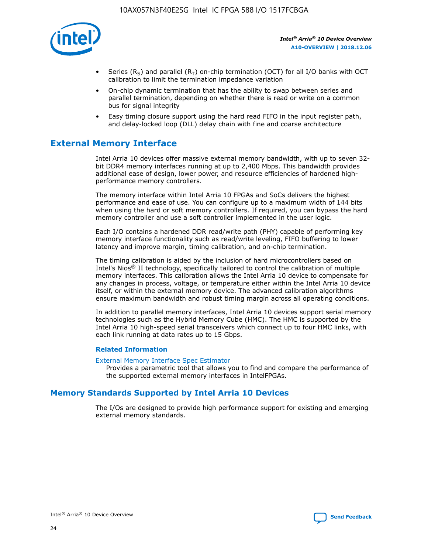

- Series (R<sub>S</sub>) and parallel (R<sub>T</sub>) on-chip termination (OCT) for all I/O banks with OCT calibration to limit the termination impedance variation
- On-chip dynamic termination that has the ability to swap between series and parallel termination, depending on whether there is read or write on a common bus for signal integrity
- Easy timing closure support using the hard read FIFO in the input register path, and delay-locked loop (DLL) delay chain with fine and coarse architecture

### **External Memory Interface**

Intel Arria 10 devices offer massive external memory bandwidth, with up to seven 32 bit DDR4 memory interfaces running at up to 2,400 Mbps. This bandwidth provides additional ease of design, lower power, and resource efficiencies of hardened highperformance memory controllers.

The memory interface within Intel Arria 10 FPGAs and SoCs delivers the highest performance and ease of use. You can configure up to a maximum width of 144 bits when using the hard or soft memory controllers. If required, you can bypass the hard memory controller and use a soft controller implemented in the user logic.

Each I/O contains a hardened DDR read/write path (PHY) capable of performing key memory interface functionality such as read/write leveling, FIFO buffering to lower latency and improve margin, timing calibration, and on-chip termination.

The timing calibration is aided by the inclusion of hard microcontrollers based on Intel's Nios® II technology, specifically tailored to control the calibration of multiple memory interfaces. This calibration allows the Intel Arria 10 device to compensate for any changes in process, voltage, or temperature either within the Intel Arria 10 device itself, or within the external memory device. The advanced calibration algorithms ensure maximum bandwidth and robust timing margin across all operating conditions.

In addition to parallel memory interfaces, Intel Arria 10 devices support serial memory technologies such as the Hybrid Memory Cube (HMC). The HMC is supported by the Intel Arria 10 high-speed serial transceivers which connect up to four HMC links, with each link running at data rates up to 15 Gbps.

### **Related Information**

#### [External Memory Interface Spec Estimator](http://www.altera.com/technology/memory/estimator/mem-emif-index.html)

Provides a parametric tool that allows you to find and compare the performance of the supported external memory interfaces in IntelFPGAs.

### **Memory Standards Supported by Intel Arria 10 Devices**

The I/Os are designed to provide high performance support for existing and emerging external memory standards.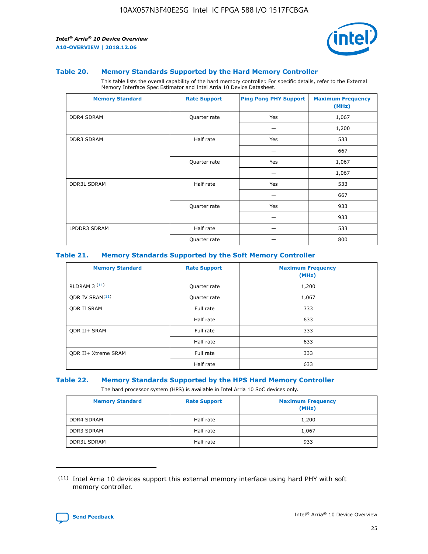

#### **Table 20. Memory Standards Supported by the Hard Memory Controller**

This table lists the overall capability of the hard memory controller. For specific details, refer to the External Memory Interface Spec Estimator and Intel Arria 10 Device Datasheet.

| <b>Memory Standard</b> | <b>Rate Support</b> | <b>Ping Pong PHY Support</b> | <b>Maximum Frequency</b><br>(MHz) |
|------------------------|---------------------|------------------------------|-----------------------------------|
| <b>DDR4 SDRAM</b>      | Quarter rate        | Yes                          | 1,067                             |
|                        |                     |                              | 1,200                             |
| DDR3 SDRAM             | Half rate           | Yes                          | 533                               |
|                        |                     |                              | 667                               |
|                        | Quarter rate        | Yes                          | 1,067                             |
|                        |                     |                              | 1,067                             |
| <b>DDR3L SDRAM</b>     | Half rate           | Yes                          | 533                               |
|                        |                     |                              | 667                               |
|                        | Quarter rate        | Yes                          | 933                               |
|                        |                     |                              | 933                               |
| LPDDR3 SDRAM           | Half rate           |                              | 533                               |
|                        | Quarter rate        |                              | 800                               |

### **Table 21. Memory Standards Supported by the Soft Memory Controller**

| <b>Memory Standard</b>      | <b>Rate Support</b> | <b>Maximum Frequency</b><br>(MHz) |
|-----------------------------|---------------------|-----------------------------------|
| <b>RLDRAM 3 (11)</b>        | Quarter rate        | 1,200                             |
| ODR IV SRAM <sup>(11)</sup> | Quarter rate        | 1,067                             |
| <b>ODR II SRAM</b>          | Full rate           | 333                               |
|                             | Half rate           | 633                               |
| <b>ODR II+ SRAM</b>         | Full rate           | 333                               |
|                             | Half rate           | 633                               |
| <b>ODR II+ Xtreme SRAM</b>  | Full rate           | 333                               |
|                             | Half rate           | 633                               |

#### **Table 22. Memory Standards Supported by the HPS Hard Memory Controller**

The hard processor system (HPS) is available in Intel Arria 10 SoC devices only.

| <b>Memory Standard</b> | <b>Rate Support</b> | <b>Maximum Frequency</b><br>(MHz) |
|------------------------|---------------------|-----------------------------------|
| <b>DDR4 SDRAM</b>      | Half rate           | 1,200                             |
| <b>DDR3 SDRAM</b>      | Half rate           | 1,067                             |
| <b>DDR3L SDRAM</b>     | Half rate           | 933                               |

<sup>(11)</sup> Intel Arria 10 devices support this external memory interface using hard PHY with soft memory controller.

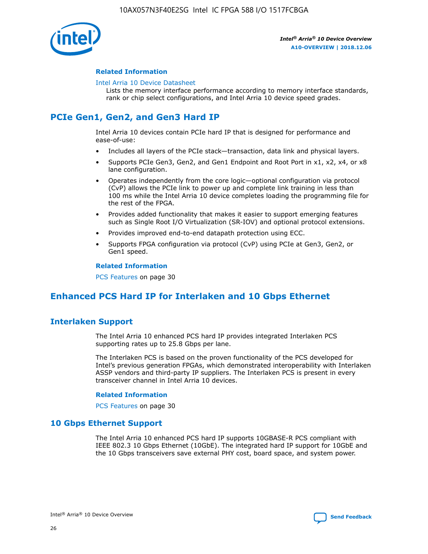

### **Related Information**

#### [Intel Arria 10 Device Datasheet](https://www.intel.com/content/www/us/en/programmable/documentation/mcn1413182292568.html#mcn1413182153340)

Lists the memory interface performance according to memory interface standards, rank or chip select configurations, and Intel Arria 10 device speed grades.

### **PCIe Gen1, Gen2, and Gen3 Hard IP**

Intel Arria 10 devices contain PCIe hard IP that is designed for performance and ease-of-use:

- Includes all layers of the PCIe stack—transaction, data link and physical layers.
- Supports PCIe Gen3, Gen2, and Gen1 Endpoint and Root Port in x1, x2, x4, or x8 lane configuration.
- Operates independently from the core logic—optional configuration via protocol (CvP) allows the PCIe link to power up and complete link training in less than 100 ms while the Intel Arria 10 device completes loading the programming file for the rest of the FPGA.
- Provides added functionality that makes it easier to support emerging features such as Single Root I/O Virtualization (SR-IOV) and optional protocol extensions.
- Provides improved end-to-end datapath protection using ECC.
- Supports FPGA configuration via protocol (CvP) using PCIe at Gen3, Gen2, or Gen1 speed.

#### **Related Information**

PCS Features on page 30

### **Enhanced PCS Hard IP for Interlaken and 10 Gbps Ethernet**

### **Interlaken Support**

The Intel Arria 10 enhanced PCS hard IP provides integrated Interlaken PCS supporting rates up to 25.8 Gbps per lane.

The Interlaken PCS is based on the proven functionality of the PCS developed for Intel's previous generation FPGAs, which demonstrated interoperability with Interlaken ASSP vendors and third-party IP suppliers. The Interlaken PCS is present in every transceiver channel in Intel Arria 10 devices.

### **Related Information**

PCS Features on page 30

### **10 Gbps Ethernet Support**

The Intel Arria 10 enhanced PCS hard IP supports 10GBASE-R PCS compliant with IEEE 802.3 10 Gbps Ethernet (10GbE). The integrated hard IP support for 10GbE and the 10 Gbps transceivers save external PHY cost, board space, and system power.

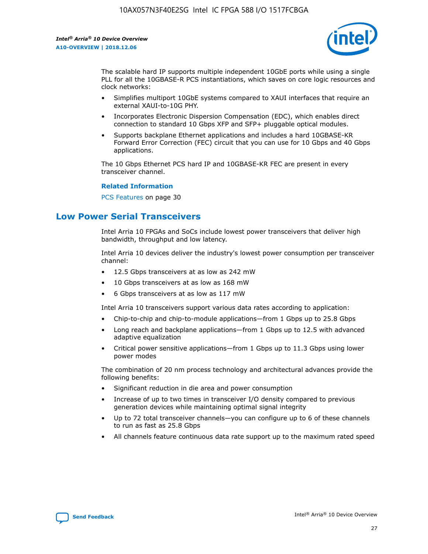

The scalable hard IP supports multiple independent 10GbE ports while using a single PLL for all the 10GBASE-R PCS instantiations, which saves on core logic resources and clock networks:

- Simplifies multiport 10GbE systems compared to XAUI interfaces that require an external XAUI-to-10G PHY.
- Incorporates Electronic Dispersion Compensation (EDC), which enables direct connection to standard 10 Gbps XFP and SFP+ pluggable optical modules.
- Supports backplane Ethernet applications and includes a hard 10GBASE-KR Forward Error Correction (FEC) circuit that you can use for 10 Gbps and 40 Gbps applications.

The 10 Gbps Ethernet PCS hard IP and 10GBASE-KR FEC are present in every transceiver channel.

#### **Related Information**

PCS Features on page 30

### **Low Power Serial Transceivers**

Intel Arria 10 FPGAs and SoCs include lowest power transceivers that deliver high bandwidth, throughput and low latency.

Intel Arria 10 devices deliver the industry's lowest power consumption per transceiver channel:

- 12.5 Gbps transceivers at as low as 242 mW
- 10 Gbps transceivers at as low as 168 mW
- 6 Gbps transceivers at as low as 117 mW

Intel Arria 10 transceivers support various data rates according to application:

- Chip-to-chip and chip-to-module applications—from 1 Gbps up to 25.8 Gbps
- Long reach and backplane applications—from 1 Gbps up to 12.5 with advanced adaptive equalization
- Critical power sensitive applications—from 1 Gbps up to 11.3 Gbps using lower power modes

The combination of 20 nm process technology and architectural advances provide the following benefits:

- Significant reduction in die area and power consumption
- Increase of up to two times in transceiver I/O density compared to previous generation devices while maintaining optimal signal integrity
- Up to 72 total transceiver channels—you can configure up to 6 of these channels to run as fast as 25.8 Gbps
- All channels feature continuous data rate support up to the maximum rated speed

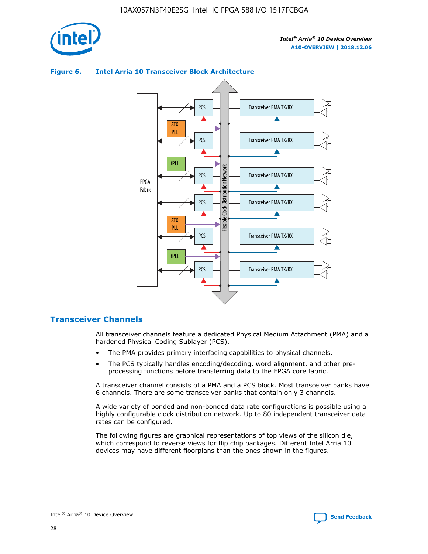



### **Figure 6. Intel Arria 10 Transceiver Block Architecture**

### **Transceiver Channels**

All transceiver channels feature a dedicated Physical Medium Attachment (PMA) and a hardened Physical Coding Sublayer (PCS).

- The PMA provides primary interfacing capabilities to physical channels.
- The PCS typically handles encoding/decoding, word alignment, and other preprocessing functions before transferring data to the FPGA core fabric.

A transceiver channel consists of a PMA and a PCS block. Most transceiver banks have 6 channels. There are some transceiver banks that contain only 3 channels.

A wide variety of bonded and non-bonded data rate configurations is possible using a highly configurable clock distribution network. Up to 80 independent transceiver data rates can be configured.

The following figures are graphical representations of top views of the silicon die, which correspond to reverse views for flip chip packages. Different Intel Arria 10 devices may have different floorplans than the ones shown in the figures.

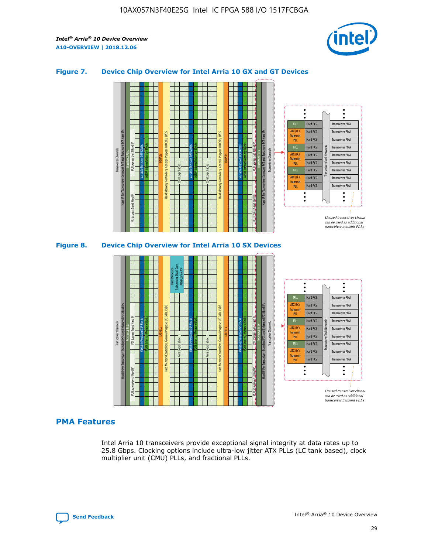

### **Figure 7. Device Chip Overview for Intel Arria 10 GX and GT Devices**





### **PMA Features**

Intel Arria 10 transceivers provide exceptional signal integrity at data rates up to 25.8 Gbps. Clocking options include ultra-low jitter ATX PLLs (LC tank based), clock multiplier unit (CMU) PLLs, and fractional PLLs.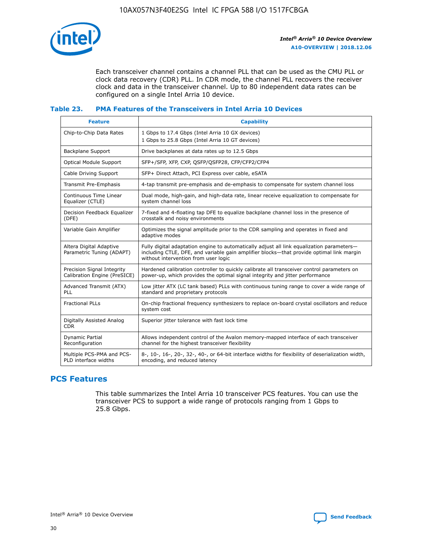

Each transceiver channel contains a channel PLL that can be used as the CMU PLL or clock data recovery (CDR) PLL. In CDR mode, the channel PLL recovers the receiver clock and data in the transceiver channel. Up to 80 independent data rates can be configured on a single Intel Arria 10 device.

### **Table 23. PMA Features of the Transceivers in Intel Arria 10 Devices**

| <b>Feature</b>                                             | <b>Capability</b>                                                                                                                                                                                                             |
|------------------------------------------------------------|-------------------------------------------------------------------------------------------------------------------------------------------------------------------------------------------------------------------------------|
| Chip-to-Chip Data Rates                                    | 1 Gbps to 17.4 Gbps (Intel Arria 10 GX devices)<br>1 Gbps to 25.8 Gbps (Intel Arria 10 GT devices)                                                                                                                            |
| <b>Backplane Support</b>                                   | Drive backplanes at data rates up to 12.5 Gbps                                                                                                                                                                                |
| <b>Optical Module Support</b>                              | SFP+/SFP, XFP, CXP, QSFP/QSFP28, CFP/CFP2/CFP4                                                                                                                                                                                |
| Cable Driving Support                                      | SFP+ Direct Attach, PCI Express over cable, eSATA                                                                                                                                                                             |
| Transmit Pre-Emphasis                                      | 4-tap transmit pre-emphasis and de-emphasis to compensate for system channel loss                                                                                                                                             |
| Continuous Time Linear<br>Equalizer (CTLE)                 | Dual mode, high-gain, and high-data rate, linear receive equalization to compensate for<br>system channel loss                                                                                                                |
| Decision Feedback Equalizer<br>(DFE)                       | 7-fixed and 4-floating tap DFE to equalize backplane channel loss in the presence of<br>crosstalk and noisy environments                                                                                                      |
| Variable Gain Amplifier                                    | Optimizes the signal amplitude prior to the CDR sampling and operates in fixed and<br>adaptive modes                                                                                                                          |
| Altera Digital Adaptive<br>Parametric Tuning (ADAPT)       | Fully digital adaptation engine to automatically adjust all link equalization parameters-<br>including CTLE, DFE, and variable gain amplifier blocks—that provide optimal link margin<br>without intervention from user logic |
| Precision Signal Integrity<br>Calibration Engine (PreSICE) | Hardened calibration controller to quickly calibrate all transceiver control parameters on<br>power-up, which provides the optimal signal integrity and jitter performance                                                    |
| Advanced Transmit (ATX)<br><b>PLL</b>                      | Low jitter ATX (LC tank based) PLLs with continuous tuning range to cover a wide range of<br>standard and proprietary protocols                                                                                               |
| <b>Fractional PLLs</b>                                     | On-chip fractional frequency synthesizers to replace on-board crystal oscillators and reduce<br>system cost                                                                                                                   |
| Digitally Assisted Analog<br><b>CDR</b>                    | Superior jitter tolerance with fast lock time                                                                                                                                                                                 |
| Dynamic Partial<br>Reconfiguration                         | Allows independent control of the Avalon memory-mapped interface of each transceiver<br>channel for the highest transceiver flexibility                                                                                       |
| Multiple PCS-PMA and PCS-<br>PLD interface widths          | 8-, 10-, 16-, 20-, 32-, 40-, or 64-bit interface widths for flexibility of deserialization width,<br>encoding, and reduced latency                                                                                            |

### **PCS Features**

This table summarizes the Intel Arria 10 transceiver PCS features. You can use the transceiver PCS to support a wide range of protocols ranging from 1 Gbps to 25.8 Gbps.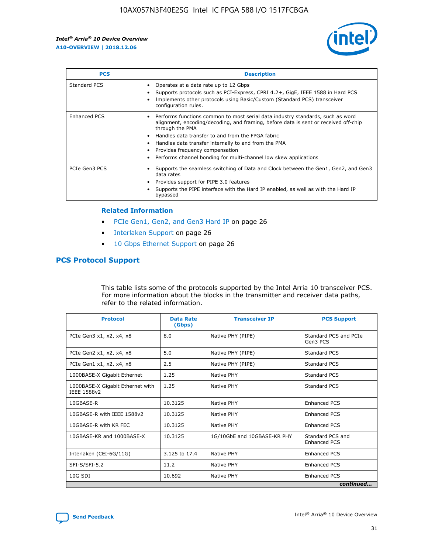

| <b>PCS</b>    | <b>Description</b>                                                                                                                                                                                                                                                                                                                                                                                             |
|---------------|----------------------------------------------------------------------------------------------------------------------------------------------------------------------------------------------------------------------------------------------------------------------------------------------------------------------------------------------------------------------------------------------------------------|
| Standard PCS  | Operates at a data rate up to 12 Gbps<br>Supports protocols such as PCI-Express, CPRI 4.2+, GigE, IEEE 1588 in Hard PCS<br>Implements other protocols using Basic/Custom (Standard PCS) transceiver<br>configuration rules.                                                                                                                                                                                    |
| Enhanced PCS  | Performs functions common to most serial data industry standards, such as word<br>alignment, encoding/decoding, and framing, before data is sent or received off-chip<br>through the PMA<br>• Handles data transfer to and from the FPGA fabric<br>Handles data transfer internally to and from the PMA<br>Provides frequency compensation<br>Performs channel bonding for multi-channel low skew applications |
| PCIe Gen3 PCS | Supports the seamless switching of Data and Clock between the Gen1, Gen2, and Gen3<br>data rates<br>Provides support for PIPE 3.0 features<br>Supports the PIPE interface with the Hard IP enabled, as well as with the Hard IP<br>bypassed                                                                                                                                                                    |

#### **Related Information**

- PCIe Gen1, Gen2, and Gen3 Hard IP on page 26
- Interlaken Support on page 26
- 10 Gbps Ethernet Support on page 26

### **PCS Protocol Support**

This table lists some of the protocols supported by the Intel Arria 10 transceiver PCS. For more information about the blocks in the transmitter and receiver data paths, refer to the related information.

| <b>Protocol</b>                                 | <b>Data Rate</b><br>(Gbps) | <b>Transceiver IP</b>       | <b>PCS Support</b>                      |
|-------------------------------------------------|----------------------------|-----------------------------|-----------------------------------------|
| PCIe Gen3 x1, x2, x4, x8                        | 8.0                        | Native PHY (PIPE)           | Standard PCS and PCIe<br>Gen3 PCS       |
| PCIe Gen2 x1, x2, x4, x8                        | 5.0                        | Native PHY (PIPE)           | <b>Standard PCS</b>                     |
| PCIe Gen1 x1, x2, x4, x8                        | 2.5                        | Native PHY (PIPE)           | Standard PCS                            |
| 1000BASE-X Gigabit Ethernet                     | 1.25                       | Native PHY                  | <b>Standard PCS</b>                     |
| 1000BASE-X Gigabit Ethernet with<br>IEEE 1588v2 | 1.25                       | Native PHY                  | Standard PCS                            |
| 10GBASE-R                                       | 10.3125                    | Native PHY                  | <b>Enhanced PCS</b>                     |
| 10GBASE-R with IEEE 1588v2                      | 10.3125                    | Native PHY                  | <b>Enhanced PCS</b>                     |
| 10GBASE-R with KR FEC                           | 10.3125                    | Native PHY                  | <b>Enhanced PCS</b>                     |
| 10GBASE-KR and 1000BASE-X                       | 10.3125                    | 1G/10GbE and 10GBASE-KR PHY | Standard PCS and<br><b>Enhanced PCS</b> |
| Interlaken (CEI-6G/11G)                         | 3.125 to 17.4              | Native PHY                  | <b>Enhanced PCS</b>                     |
| SFI-S/SFI-5.2                                   | 11.2                       | Native PHY                  | <b>Enhanced PCS</b>                     |
| $10G$ SDI                                       | 10.692                     | Native PHY                  | <b>Enhanced PCS</b>                     |
|                                                 |                            |                             | continued                               |

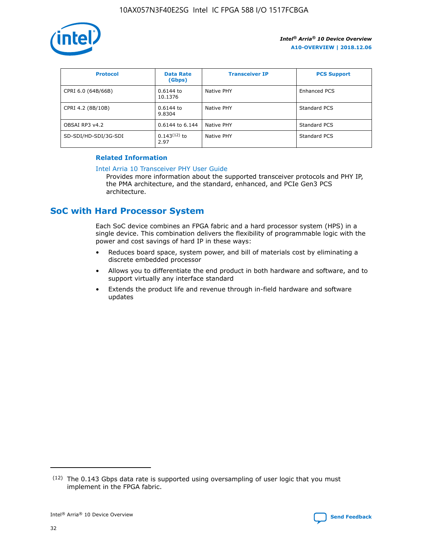

| <b>Protocol</b>      | <b>Data Rate</b><br>(Gbps) | <b>Transceiver IP</b> | <b>PCS Support</b> |
|----------------------|----------------------------|-----------------------|--------------------|
| CPRI 6.0 (64B/66B)   | 0.6144 to<br>10.1376       | Native PHY            | Enhanced PCS       |
| CPRI 4.2 (8B/10B)    | 0.6144 to<br>9.8304        | Native PHY            | Standard PCS       |
| OBSAI RP3 v4.2       | 0.6144 to 6.144            | Native PHY            | Standard PCS       |
| SD-SDI/HD-SDI/3G-SDI | $0.143(12)$ to<br>2.97     | Native PHY            | Standard PCS       |

### **Related Information**

#### [Intel Arria 10 Transceiver PHY User Guide](https://www.intel.com/content/www/us/en/programmable/documentation/nik1398707230472.html#nik1398707091164)

Provides more information about the supported transceiver protocols and PHY IP, the PMA architecture, and the standard, enhanced, and PCIe Gen3 PCS architecture.

### **SoC with Hard Processor System**

Each SoC device combines an FPGA fabric and a hard processor system (HPS) in a single device. This combination delivers the flexibility of programmable logic with the power and cost savings of hard IP in these ways:

- Reduces board space, system power, and bill of materials cost by eliminating a discrete embedded processor
- Allows you to differentiate the end product in both hardware and software, and to support virtually any interface standard
- Extends the product life and revenue through in-field hardware and software updates

 $(12)$  The 0.143 Gbps data rate is supported using oversampling of user logic that you must implement in the FPGA fabric.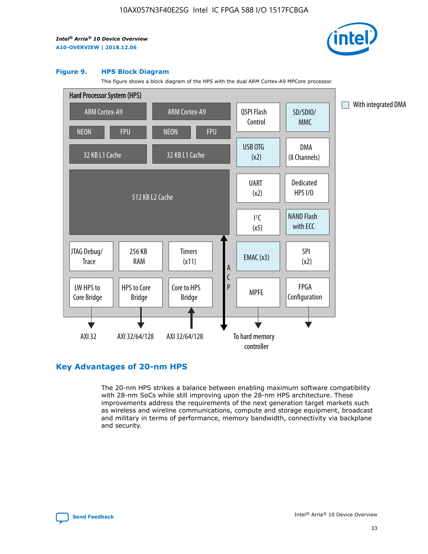

#### **Figure 9. HPS Block Diagram**

This figure shows a block diagram of the HPS with the dual ARM Cortex-A9 MPCore processor.



### **Key Advantages of 20-nm HPS**

The 20-nm HPS strikes a balance between enabling maximum software compatibility with 28-nm SoCs while still improving upon the 28-nm HPS architecture. These improvements address the requirements of the next generation target markets such as wireless and wireline communications, compute and storage equipment, broadcast and military in terms of performance, memory bandwidth, connectivity via backplane and security.

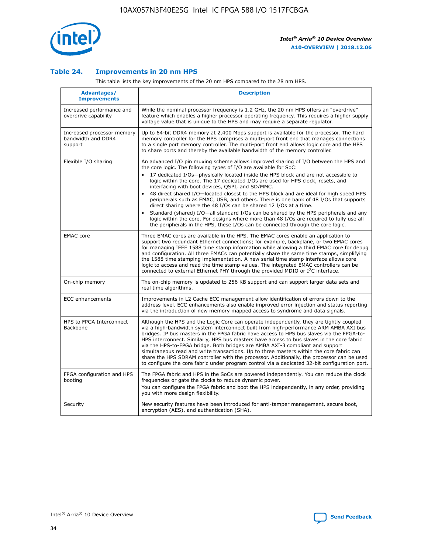

### **Table 24. Improvements in 20 nm HPS**

This table lists the key improvements of the 20 nm HPS compared to the 28 nm HPS.

| Advantages/<br><b>Improvements</b>                          | <b>Description</b>                                                                                                                                                                                                                                                                                                                                                                                                                                                                                                                                                                                                                                                                                                                                                                                                                   |
|-------------------------------------------------------------|--------------------------------------------------------------------------------------------------------------------------------------------------------------------------------------------------------------------------------------------------------------------------------------------------------------------------------------------------------------------------------------------------------------------------------------------------------------------------------------------------------------------------------------------------------------------------------------------------------------------------------------------------------------------------------------------------------------------------------------------------------------------------------------------------------------------------------------|
| Increased performance and<br>overdrive capability           | While the nominal processor frequency is 1.2 GHz, the 20 nm HPS offers an "overdrive"<br>feature which enables a higher processor operating frequency. This requires a higher supply<br>voltage value that is unique to the HPS and may require a separate requlator.                                                                                                                                                                                                                                                                                                                                                                                                                                                                                                                                                                |
| Increased processor memory<br>bandwidth and DDR4<br>support | Up to 64-bit DDR4 memory at 2,400 Mbps support is available for the processor. The hard<br>memory controller for the HPS comprises a multi-port front end that manages connections<br>to a single port memory controller. The multi-port front end allows logic core and the HPS<br>to share ports and thereby the available bandwidth of the memory controller.                                                                                                                                                                                                                                                                                                                                                                                                                                                                     |
| Flexible I/O sharing                                        | An advanced I/O pin muxing scheme allows improved sharing of I/O between the HPS and<br>the core logic. The following types of I/O are available for SoC:<br>17 dedicated I/Os-physically located inside the HPS block and are not accessible to<br>logic within the core. The 17 dedicated I/Os are used for HPS clock, resets, and<br>interfacing with boot devices, QSPI, and SD/MMC.<br>48 direct shared I/O-located closest to the HPS block and are ideal for high speed HPS<br>peripherals such as EMAC, USB, and others. There is one bank of 48 I/Os that supports<br>direct sharing where the 48 I/Os can be shared 12 I/Os at a time.<br>Standard (shared) I/O—all standard I/Os can be shared by the HPS peripherals and any<br>logic within the core. For designs where more than 48 I/Os are required to fully use all |
| <b>EMAC</b> core                                            | the peripherals in the HPS, these I/Os can be connected through the core logic.<br>Three EMAC cores are available in the HPS. The EMAC cores enable an application to                                                                                                                                                                                                                                                                                                                                                                                                                                                                                                                                                                                                                                                                |
|                                                             | support two redundant Ethernet connections; for example, backplane, or two EMAC cores<br>for managing IEEE 1588 time stamp information while allowing a third EMAC core for debug<br>and configuration. All three EMACs can potentially share the same time stamps, simplifying<br>the 1588 time stamping implementation. A new serial time stamp interface allows core<br>logic to access and read the time stamp values. The integrated EMAC controllers can be<br>connected to external Ethernet PHY through the provided MDIO or I <sup>2</sup> C interface.                                                                                                                                                                                                                                                                     |
| On-chip memory                                              | The on-chip memory is updated to 256 KB support and can support larger data sets and<br>real time algorithms.                                                                                                                                                                                                                                                                                                                                                                                                                                                                                                                                                                                                                                                                                                                        |
| <b>ECC</b> enhancements                                     | Improvements in L2 Cache ECC management allow identification of errors down to the<br>address level. ECC enhancements also enable improved error injection and status reporting<br>via the introduction of new memory mapped access to syndrome and data signals.                                                                                                                                                                                                                                                                                                                                                                                                                                                                                                                                                                    |
| HPS to FPGA Interconnect<br>Backbone                        | Although the HPS and the Logic Core can operate independently, they are tightly coupled<br>via a high-bandwidth system interconnect built from high-performance ARM AMBA AXI bus<br>bridges. IP bus masters in the FPGA fabric have access to HPS bus slaves via the FPGA-to-<br>HPS interconnect. Similarly, HPS bus masters have access to bus slaves in the core fabric<br>via the HPS-to-FPGA bridge. Both bridges are AMBA AXI-3 compliant and support<br>simultaneous read and write transactions. Up to three masters within the core fabric can<br>share the HPS SDRAM controller with the processor. Additionally, the processor can be used<br>to configure the core fabric under program control via a dedicated 32-bit configuration port.                                                                               |
| FPGA configuration and HPS<br>booting                       | The FPGA fabric and HPS in the SoCs are powered independently. You can reduce the clock<br>frequencies or gate the clocks to reduce dynamic power.<br>You can configure the FPGA fabric and boot the HPS independently, in any order, providing<br>you with more design flexibility.                                                                                                                                                                                                                                                                                                                                                                                                                                                                                                                                                 |
| Security                                                    | New security features have been introduced for anti-tamper management, secure boot,<br>encryption (AES), and authentication (SHA).                                                                                                                                                                                                                                                                                                                                                                                                                                                                                                                                                                                                                                                                                                   |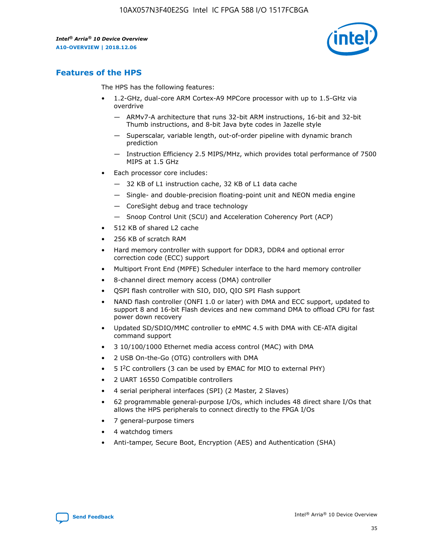

### **Features of the HPS**

The HPS has the following features:

- 1.2-GHz, dual-core ARM Cortex-A9 MPCore processor with up to 1.5-GHz via overdrive
	- ARMv7-A architecture that runs 32-bit ARM instructions, 16-bit and 32-bit Thumb instructions, and 8-bit Java byte codes in Jazelle style
	- Superscalar, variable length, out-of-order pipeline with dynamic branch prediction
	- Instruction Efficiency 2.5 MIPS/MHz, which provides total performance of 7500 MIPS at 1.5 GHz
- Each processor core includes:
	- 32 KB of L1 instruction cache, 32 KB of L1 data cache
	- Single- and double-precision floating-point unit and NEON media engine
	- CoreSight debug and trace technology
	- Snoop Control Unit (SCU) and Acceleration Coherency Port (ACP)
- 512 KB of shared L2 cache
- 256 KB of scratch RAM
- Hard memory controller with support for DDR3, DDR4 and optional error correction code (ECC) support
- Multiport Front End (MPFE) Scheduler interface to the hard memory controller
- 8-channel direct memory access (DMA) controller
- QSPI flash controller with SIO, DIO, QIO SPI Flash support
- NAND flash controller (ONFI 1.0 or later) with DMA and ECC support, updated to support 8 and 16-bit Flash devices and new command DMA to offload CPU for fast power down recovery
- Updated SD/SDIO/MMC controller to eMMC 4.5 with DMA with CE-ATA digital command support
- 3 10/100/1000 Ethernet media access control (MAC) with DMA
- 2 USB On-the-Go (OTG) controllers with DMA
- $\bullet$  5 I<sup>2</sup>C controllers (3 can be used by EMAC for MIO to external PHY)
- 2 UART 16550 Compatible controllers
- 4 serial peripheral interfaces (SPI) (2 Master, 2 Slaves)
- 62 programmable general-purpose I/Os, which includes 48 direct share I/Os that allows the HPS peripherals to connect directly to the FPGA I/Os
- 7 general-purpose timers
- 4 watchdog timers
- Anti-tamper, Secure Boot, Encryption (AES) and Authentication (SHA)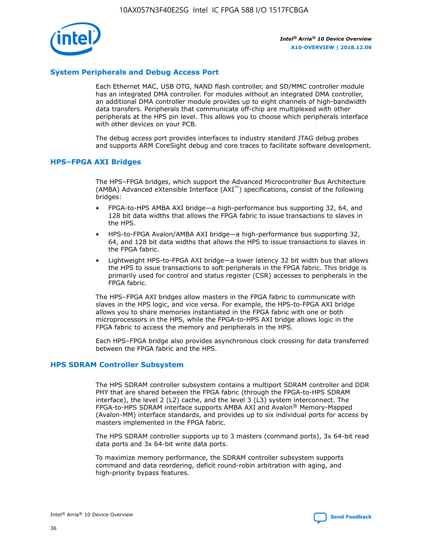

### **System Peripherals and Debug Access Port**

Each Ethernet MAC, USB OTG, NAND flash controller, and SD/MMC controller module has an integrated DMA controller. For modules without an integrated DMA controller, an additional DMA controller module provides up to eight channels of high-bandwidth data transfers. Peripherals that communicate off-chip are multiplexed with other peripherals at the HPS pin level. This allows you to choose which peripherals interface with other devices on your PCB.

The debug access port provides interfaces to industry standard JTAG debug probes and supports ARM CoreSight debug and core traces to facilitate software development.

### **HPS–FPGA AXI Bridges**

The HPS–FPGA bridges, which support the Advanced Microcontroller Bus Architecture (AMBA) Advanced eXtensible Interface (AXI™) specifications, consist of the following bridges:

- FPGA-to-HPS AMBA AXI bridge—a high-performance bus supporting 32, 64, and 128 bit data widths that allows the FPGA fabric to issue transactions to slaves in the HPS.
- HPS-to-FPGA Avalon/AMBA AXI bridge—a high-performance bus supporting 32, 64, and 128 bit data widths that allows the HPS to issue transactions to slaves in the FPGA fabric.
- Lightweight HPS-to-FPGA AXI bridge—a lower latency 32 bit width bus that allows the HPS to issue transactions to soft peripherals in the FPGA fabric. This bridge is primarily used for control and status register (CSR) accesses to peripherals in the FPGA fabric.

The HPS–FPGA AXI bridges allow masters in the FPGA fabric to communicate with slaves in the HPS logic, and vice versa. For example, the HPS-to-FPGA AXI bridge allows you to share memories instantiated in the FPGA fabric with one or both microprocessors in the HPS, while the FPGA-to-HPS AXI bridge allows logic in the FPGA fabric to access the memory and peripherals in the HPS.

Each HPS–FPGA bridge also provides asynchronous clock crossing for data transferred between the FPGA fabric and the HPS.

### **HPS SDRAM Controller Subsystem**

The HPS SDRAM controller subsystem contains a multiport SDRAM controller and DDR PHY that are shared between the FPGA fabric (through the FPGA-to-HPS SDRAM interface), the level 2 (L2) cache, and the level 3 (L3) system interconnect. The FPGA-to-HPS SDRAM interface supports AMBA AXI and Avalon® Memory-Mapped (Avalon-MM) interface standards, and provides up to six individual ports for access by masters implemented in the FPGA fabric.

The HPS SDRAM controller supports up to 3 masters (command ports), 3x 64-bit read data ports and 3x 64-bit write data ports.

To maximize memory performance, the SDRAM controller subsystem supports command and data reordering, deficit round-robin arbitration with aging, and high-priority bypass features.

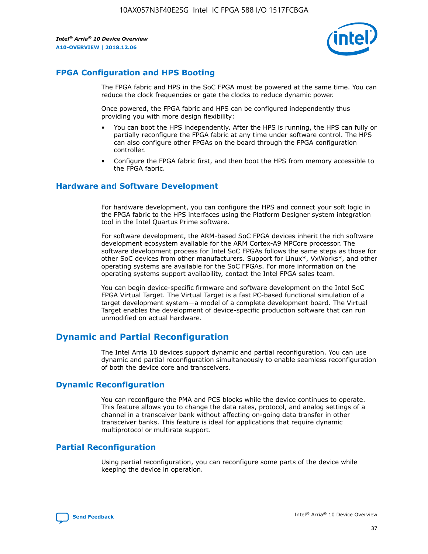

### **FPGA Configuration and HPS Booting**

The FPGA fabric and HPS in the SoC FPGA must be powered at the same time. You can reduce the clock frequencies or gate the clocks to reduce dynamic power.

Once powered, the FPGA fabric and HPS can be configured independently thus providing you with more design flexibility:

- You can boot the HPS independently. After the HPS is running, the HPS can fully or partially reconfigure the FPGA fabric at any time under software control. The HPS can also configure other FPGAs on the board through the FPGA configuration controller.
- Configure the FPGA fabric first, and then boot the HPS from memory accessible to the FPGA fabric.

### **Hardware and Software Development**

For hardware development, you can configure the HPS and connect your soft logic in the FPGA fabric to the HPS interfaces using the Platform Designer system integration tool in the Intel Quartus Prime software.

For software development, the ARM-based SoC FPGA devices inherit the rich software development ecosystem available for the ARM Cortex-A9 MPCore processor. The software development process for Intel SoC FPGAs follows the same steps as those for other SoC devices from other manufacturers. Support for Linux\*, VxWorks\*, and other operating systems are available for the SoC FPGAs. For more information on the operating systems support availability, contact the Intel FPGA sales team.

You can begin device-specific firmware and software development on the Intel SoC FPGA Virtual Target. The Virtual Target is a fast PC-based functional simulation of a target development system—a model of a complete development board. The Virtual Target enables the development of device-specific production software that can run unmodified on actual hardware.

### **Dynamic and Partial Reconfiguration**

The Intel Arria 10 devices support dynamic and partial reconfiguration. You can use dynamic and partial reconfiguration simultaneously to enable seamless reconfiguration of both the device core and transceivers.

### **Dynamic Reconfiguration**

You can reconfigure the PMA and PCS blocks while the device continues to operate. This feature allows you to change the data rates, protocol, and analog settings of a channel in a transceiver bank without affecting on-going data transfer in other transceiver banks. This feature is ideal for applications that require dynamic multiprotocol or multirate support.

### **Partial Reconfiguration**

Using partial reconfiguration, you can reconfigure some parts of the device while keeping the device in operation.

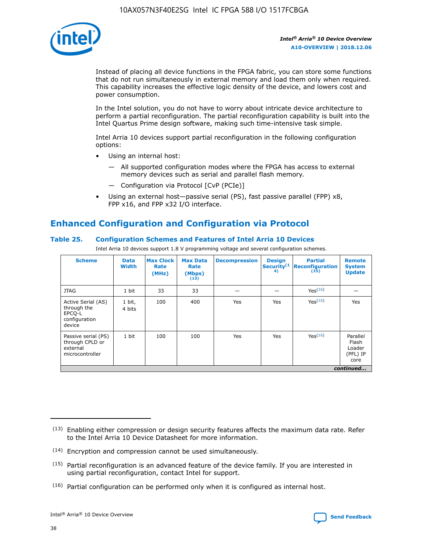

Instead of placing all device functions in the FPGA fabric, you can store some functions that do not run simultaneously in external memory and load them only when required. This capability increases the effective logic density of the device, and lowers cost and power consumption.

In the Intel solution, you do not have to worry about intricate device architecture to perform a partial reconfiguration. The partial reconfiguration capability is built into the Intel Quartus Prime design software, making such time-intensive task simple.

Intel Arria 10 devices support partial reconfiguration in the following configuration options:

- Using an internal host:
	- All supported configuration modes where the FPGA has access to external memory devices such as serial and parallel flash memory.
	- Configuration via Protocol [CvP (PCIe)]
- Using an external host—passive serial (PS), fast passive parallel (FPP) x8, FPP x16, and FPP x32 I/O interface.

### **Enhanced Configuration and Configuration via Protocol**

### **Table 25. Configuration Schemes and Features of Intel Arria 10 Devices**

Intel Arria 10 devices support 1.8 V programming voltage and several configuration schemes.

| <b>Scheme</b>                                                          | <b>Data</b><br><b>Width</b> | <b>Max Clock</b><br>Rate<br>(MHz) | <b>Max Data</b><br>Rate<br>(Mbps)<br>(13) | <b>Decompression</b> | <b>Design</b><br>Security <sup>(1</sup><br>4) | <b>Partial</b><br><b>Reconfiguration</b><br>(15) | <b>Remote</b><br><b>System</b><br><b>Update</b> |
|------------------------------------------------------------------------|-----------------------------|-----------------------------------|-------------------------------------------|----------------------|-----------------------------------------------|--------------------------------------------------|-------------------------------------------------|
| <b>JTAG</b>                                                            | 1 bit                       | 33                                | 33                                        |                      |                                               | Yes(16)                                          |                                                 |
| Active Serial (AS)<br>through the<br>EPCO-L<br>configuration<br>device | 1 bit,<br>4 bits            | 100                               | 400                                       | Yes                  | Yes                                           | $Y_{PS}(16)$                                     | Yes                                             |
| Passive serial (PS)<br>through CPLD or<br>external<br>microcontroller  | 1 bit                       | 100                               | 100                                       | Yes                  | Yes                                           | Yes(16)                                          | Parallel<br>Flash<br>Loader<br>(PFL) IP<br>core |
|                                                                        |                             |                                   |                                           |                      |                                               |                                                  | continued                                       |

<sup>(13)</sup> Enabling either compression or design security features affects the maximum data rate. Refer to the Intel Arria 10 Device Datasheet for more information.

<sup>(14)</sup> Encryption and compression cannot be used simultaneously.

 $(15)$  Partial reconfiguration is an advanced feature of the device family. If you are interested in using partial reconfiguration, contact Intel for support.

 $(16)$  Partial configuration can be performed only when it is configured as internal host.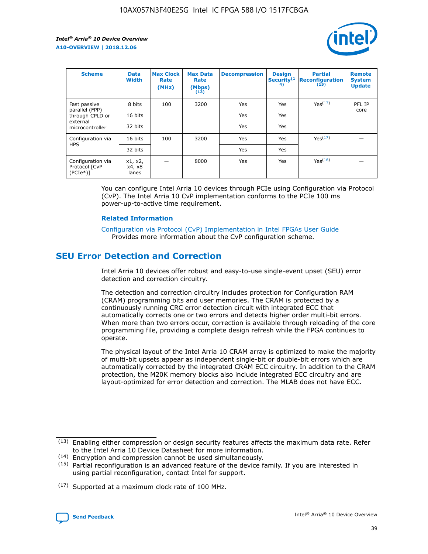

| <b>Scheme</b>                                   | <b>Data</b><br><b>Width</b> | <b>Max Clock</b><br>Rate<br>(MHz) | <b>Max Data</b><br>Rate<br>(Mbps)<br>(13) | <b>Decompression</b> | <b>Design</b><br>Security <sup>(1</sup><br>4) | <b>Partial</b><br><b>Reconfiguration</b><br>(15) | <b>Remote</b><br><b>System</b><br><b>Update</b> |
|-------------------------------------------------|-----------------------------|-----------------------------------|-------------------------------------------|----------------------|-----------------------------------------------|--------------------------------------------------|-------------------------------------------------|
| Fast passive                                    | 8 bits                      | 100                               | 3200                                      | Yes                  | Yes                                           | Yes(17)                                          | PFL IP                                          |
| parallel (FPP)<br>through CPLD or               | 16 bits                     |                                   |                                           | Yes                  | Yes                                           |                                                  | core                                            |
| external<br>microcontroller                     | 32 bits                     |                                   |                                           | Yes                  | Yes                                           |                                                  |                                                 |
| Configuration via                               | 16 bits                     | 100                               | 3200                                      | Yes                  | Yes                                           | Yes <sup>(17)</sup>                              |                                                 |
| <b>HPS</b>                                      | 32 bits                     |                                   |                                           | Yes                  | Yes                                           |                                                  |                                                 |
| Configuration via<br>Protocol [CvP<br>$(PCIe*)$ | x1, x2,<br>x4, x8<br>lanes  |                                   | 8000                                      | Yes                  | Yes                                           | Yes(16)                                          |                                                 |

You can configure Intel Arria 10 devices through PCIe using Configuration via Protocol (CvP). The Intel Arria 10 CvP implementation conforms to the PCIe 100 ms power-up-to-active time requirement.

### **Related Information**

[Configuration via Protocol \(CvP\) Implementation in Intel FPGAs User Guide](https://www.intel.com/content/www/us/en/programmable/documentation/dsu1441819344145.html#dsu1442269728522) Provides more information about the CvP configuration scheme.

### **SEU Error Detection and Correction**

Intel Arria 10 devices offer robust and easy-to-use single-event upset (SEU) error detection and correction circuitry.

The detection and correction circuitry includes protection for Configuration RAM (CRAM) programming bits and user memories. The CRAM is protected by a continuously running CRC error detection circuit with integrated ECC that automatically corrects one or two errors and detects higher order multi-bit errors. When more than two errors occur, correction is available through reloading of the core programming file, providing a complete design refresh while the FPGA continues to operate.

The physical layout of the Intel Arria 10 CRAM array is optimized to make the majority of multi-bit upsets appear as independent single-bit or double-bit errors which are automatically corrected by the integrated CRAM ECC circuitry. In addition to the CRAM protection, the M20K memory blocks also include integrated ECC circuitry and are layout-optimized for error detection and correction. The MLAB does not have ECC.

(14) Encryption and compression cannot be used simultaneously.

<sup>(17)</sup> Supported at a maximum clock rate of 100 MHz.



 $(13)$  Enabling either compression or design security features affects the maximum data rate. Refer to the Intel Arria 10 Device Datasheet for more information.

 $(15)$  Partial reconfiguration is an advanced feature of the device family. If you are interested in using partial reconfiguration, contact Intel for support.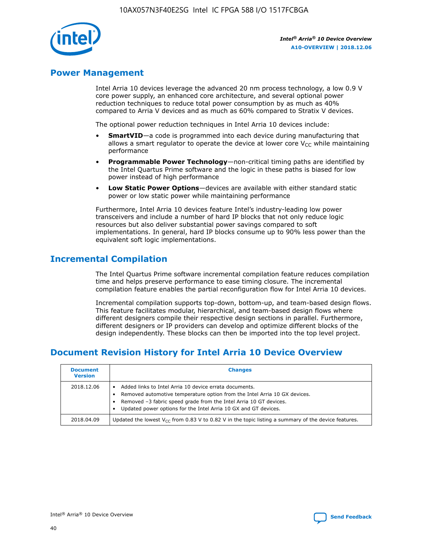

### **Power Management**

Intel Arria 10 devices leverage the advanced 20 nm process technology, a low 0.9 V core power supply, an enhanced core architecture, and several optional power reduction techniques to reduce total power consumption by as much as 40% compared to Arria V devices and as much as 60% compared to Stratix V devices.

The optional power reduction techniques in Intel Arria 10 devices include:

- **SmartVID**—a code is programmed into each device during manufacturing that allows a smart regulator to operate the device at lower core  $V_{CC}$  while maintaining performance
- **Programmable Power Technology**—non-critical timing paths are identified by the Intel Quartus Prime software and the logic in these paths is biased for low power instead of high performance
- **Low Static Power Options**—devices are available with either standard static power or low static power while maintaining performance

Furthermore, Intel Arria 10 devices feature Intel's industry-leading low power transceivers and include a number of hard IP blocks that not only reduce logic resources but also deliver substantial power savings compared to soft implementations. In general, hard IP blocks consume up to 90% less power than the equivalent soft logic implementations.

### **Incremental Compilation**

The Intel Quartus Prime software incremental compilation feature reduces compilation time and helps preserve performance to ease timing closure. The incremental compilation feature enables the partial reconfiguration flow for Intel Arria 10 devices.

Incremental compilation supports top-down, bottom-up, and team-based design flows. This feature facilitates modular, hierarchical, and team-based design flows where different designers compile their respective design sections in parallel. Furthermore, different designers or IP providers can develop and optimize different blocks of the design independently. These blocks can then be imported into the top level project.

### **Document Revision History for Intel Arria 10 Device Overview**

| <b>Document</b><br><b>Version</b> | <b>Changes</b>                                                                                                                                                                                                                                                              |
|-----------------------------------|-----------------------------------------------------------------------------------------------------------------------------------------------------------------------------------------------------------------------------------------------------------------------------|
| 2018.12.06                        | Added links to Intel Arria 10 device errata documents.<br>Removed automotive temperature option from the Intel Arria 10 GX devices.<br>Removed -3 fabric speed grade from the Intel Arria 10 GT devices.<br>Updated power options for the Intel Arria 10 GX and GT devices. |
| 2018.04.09                        | Updated the lowest $V_{CC}$ from 0.83 V to 0.82 V in the topic listing a summary of the device features.                                                                                                                                                                    |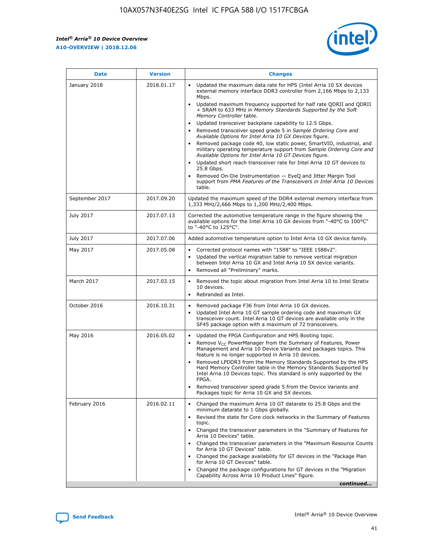*Intel® Arria® 10 Device Overview* **A10-OVERVIEW | 2018.12.06**



| <b>Date</b>    | <b>Version</b> | <b>Changes</b>                                                                                                                                                                                                                                                                                                                                                                                                                                                                                                                                                                                                                                                                                                                                                                                                                                                                                                                                                            |
|----------------|----------------|---------------------------------------------------------------------------------------------------------------------------------------------------------------------------------------------------------------------------------------------------------------------------------------------------------------------------------------------------------------------------------------------------------------------------------------------------------------------------------------------------------------------------------------------------------------------------------------------------------------------------------------------------------------------------------------------------------------------------------------------------------------------------------------------------------------------------------------------------------------------------------------------------------------------------------------------------------------------------|
| January 2018   | 2018.01.17     | Updated the maximum data rate for HPS (Intel Arria 10 SX devices<br>external memory interface DDR3 controller from 2,166 Mbps to 2,133<br>Mbps.<br>Updated maximum frequency supported for half rate QDRII and QDRII<br>+ SRAM to 633 MHz in Memory Standards Supported by the Soft<br>Memory Controller table.<br>Updated transceiver backplane capability to 12.5 Gbps.<br>$\bullet$<br>Removed transceiver speed grade 5 in Sample Ordering Core and<br>Available Options for Intel Arria 10 GX Devices figure.<br>Removed package code 40, low static power, SmartVID, industrial, and<br>military operating temperature support from Sample Ordering Core and<br>Available Options for Intel Arria 10 GT Devices figure.<br>Updated short reach transceiver rate for Intel Arria 10 GT devices to<br>25.8 Gbps.<br>Removed On-Die Instrumentation - EyeQ and Jitter Margin Tool<br>support from PMA Features of the Transceivers in Intel Arria 10 Devices<br>table. |
| September 2017 | 2017.09.20     | Updated the maximum speed of the DDR4 external memory interface from<br>1,333 MHz/2,666 Mbps to 1,200 MHz/2,400 Mbps.                                                                                                                                                                                                                                                                                                                                                                                                                                                                                                                                                                                                                                                                                                                                                                                                                                                     |
| July 2017      | 2017.07.13     | Corrected the automotive temperature range in the figure showing the<br>available options for the Intel Arria 10 GX devices from "-40°C to 100°C"<br>to "-40°C to 125°C".                                                                                                                                                                                                                                                                                                                                                                                                                                                                                                                                                                                                                                                                                                                                                                                                 |
| July 2017      | 2017.07.06     | Added automotive temperature option to Intel Arria 10 GX device family.                                                                                                                                                                                                                                                                                                                                                                                                                                                                                                                                                                                                                                                                                                                                                                                                                                                                                                   |
| May 2017       | 2017.05.08     | Corrected protocol names with "1588" to "IEEE 1588v2".<br>$\bullet$<br>Updated the vertical migration table to remove vertical migration<br>$\bullet$<br>between Intel Arria 10 GX and Intel Arria 10 SX device variants.<br>Removed all "Preliminary" marks.<br>$\bullet$                                                                                                                                                                                                                                                                                                                                                                                                                                                                                                                                                                                                                                                                                                |
| March 2017     | 2017.03.15     | Removed the topic about migration from Intel Arria 10 to Intel Stratix<br>10 devices.<br>Rebranded as Intel.<br>$\bullet$                                                                                                                                                                                                                                                                                                                                                                                                                                                                                                                                                                                                                                                                                                                                                                                                                                                 |
| October 2016   | 2016.10.31     | Removed package F36 from Intel Arria 10 GX devices.<br>Updated Intel Arria 10 GT sample ordering code and maximum GX<br>$\bullet$<br>transceiver count. Intel Arria 10 GT devices are available only in the<br>SF45 package option with a maximum of 72 transceivers.                                                                                                                                                                                                                                                                                                                                                                                                                                                                                                                                                                                                                                                                                                     |
| May 2016       | 2016.05.02     | Updated the FPGA Configuration and HPS Booting topic.<br>$\bullet$<br>Remove V <sub>CC</sub> PowerManager from the Summary of Features, Power<br>Management and Arria 10 Device Variants and packages topics. This<br>feature is no longer supported in Arria 10 devices.<br>Removed LPDDR3 from the Memory Standards Supported by the HPS<br>Hard Memory Controller table in the Memory Standards Supported by<br>Intel Arria 10 Devices topic. This standard is only supported by the<br>FPGA.<br>Removed transceiver speed grade 5 from the Device Variants and<br>Packages topic for Arria 10 GX and SX devices.                                                                                                                                                                                                                                                                                                                                                      |
| February 2016  | 2016.02.11     | Changed the maximum Arria 10 GT datarate to 25.8 Gbps and the<br>minimum datarate to 1 Gbps globally.<br>Revised the state for Core clock networks in the Summary of Features<br>$\bullet$<br>topic.<br>Changed the transceiver parameters in the "Summary of Features for<br>$\bullet$<br>Arria 10 Devices" table.<br>• Changed the transceiver parameters in the "Maximum Resource Counts<br>for Arria 10 GT Devices" table.<br>Changed the package availability for GT devices in the "Package Plan<br>for Arria 10 GT Devices" table.<br>Changed the package configurations for GT devices in the "Migration"<br>Capability Across Arria 10 Product Lines" figure.<br>continued                                                                                                                                                                                                                                                                                       |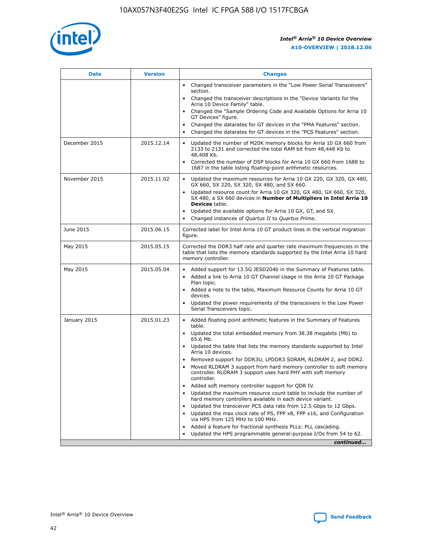

| <b>Date</b>   | <b>Version</b> | <b>Changes</b>                                                                                                                                                               |
|---------------|----------------|------------------------------------------------------------------------------------------------------------------------------------------------------------------------------|
|               |                | Changed transceiver parameters in the "Low Power Serial Transceivers"<br>section.                                                                                            |
|               |                | • Changed the transceiver descriptions in the "Device Variants for the<br>Arria 10 Device Family" table.                                                                     |
|               |                | Changed the "Sample Ordering Code and Available Options for Arria 10<br>GT Devices" figure.                                                                                  |
|               |                | Changed the datarates for GT devices in the "PMA Features" section.                                                                                                          |
|               |                | Changed the datarates for GT devices in the "PCS Features" section.<br>$\bullet$                                                                                             |
| December 2015 | 2015.12.14     | Updated the number of M20K memory blocks for Arria 10 GX 660 from<br>2133 to 2131 and corrected the total RAM bit from 48,448 Kb to<br>48,408 Kb.                            |
|               |                | Corrected the number of DSP blocks for Arria 10 GX 660 from 1688 to<br>$\bullet$<br>1687 in the table listing floating-point arithmetic resources.                           |
| November 2015 | 2015.11.02     | Updated the maximum resources for Arria 10 GX 220, GX 320, GX 480,<br>GX 660, SX 220, SX 320, SX 480, and SX 660.                                                            |
|               |                | Updated resource count for Arria 10 GX 320, GX 480, GX 660, SX 320,<br>SX 480, a SX 660 devices in Number of Multipliers in Intel Arria 10<br><b>Devices</b> table.          |
|               |                | Updated the available options for Arria 10 GX, GT, and SX.<br>$\bullet$                                                                                                      |
|               |                | Changed instances of Quartus II to Quartus Prime.<br>$\bullet$                                                                                                               |
| June 2015     | 2015.06.15     | Corrected label for Intel Arria 10 GT product lines in the vertical migration<br>figure.                                                                                     |
| May 2015      | 2015.05.15     | Corrected the DDR3 half rate and quarter rate maximum frequencies in the<br>table that lists the memory standards supported by the Intel Arria 10 hard<br>memory controller. |
| May 2015      | 2015.05.04     | Added support for 13.5G JESD204b in the Summary of Features table.<br>Added a link to Arria 10 GT Channel Usage in the Arria 10 GT Package                                   |
|               |                | Plan topic.                                                                                                                                                                  |
|               |                | • Added a note to the table, Maximum Resource Counts for Arria 10 GT<br>devices.                                                                                             |
|               |                | Updated the power requirements of the transceivers in the Low Power<br>Serial Transceivers topic.                                                                            |
| January 2015  | 2015.01.23     | • Added floating point arithmetic features in the Summary of Features<br>table.                                                                                              |
|               |                | Updated the total embedded memory from 38.38 megabits (Mb) to<br>$\bullet$<br>65.6 Mb.                                                                                       |
|               |                | • Updated the table that lists the memory standards supported by Intel<br>Arria 10 devices.                                                                                  |
|               |                | Removed support for DDR3U, LPDDR3 SDRAM, RLDRAM 2, and DDR2.                                                                                                                 |
|               |                | Moved RLDRAM 3 support from hard memory controller to soft memory<br>controller. RLDRAM 3 support uses hard PHY with soft memory<br>controller.                              |
|               |                | Added soft memory controller support for QDR IV.                                                                                                                             |
|               |                | Updated the maximum resource count table to include the number of<br>$\bullet$<br>hard memory controllers available in each device variant.                                  |
|               |                | Updated the transceiver PCS data rate from 12.5 Gbps to 12 Gbps.                                                                                                             |
|               |                | Updated the max clock rate of PS, FPP x8, FPP x16, and Configuration<br>via HPS from 125 MHz to 100 MHz.                                                                     |
|               |                | Added a feature for fractional synthesis PLLs: PLL cascading.                                                                                                                |
|               |                | Updated the HPS programmable general-purpose I/Os from 54 to 62.<br>$\bullet$                                                                                                |
|               |                | continued                                                                                                                                                                    |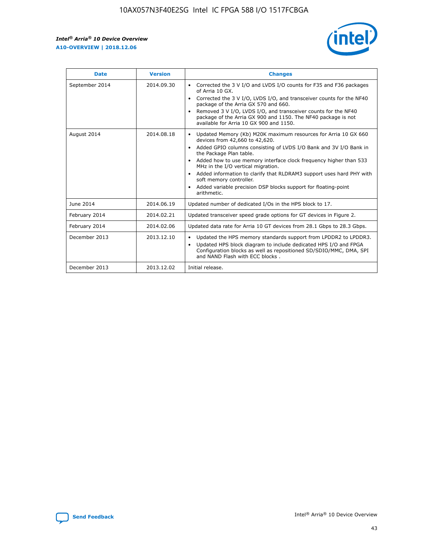r



| <b>Date</b>    | <b>Version</b> | <b>Changes</b>                                                                                                                                                                                                                                                                                                                                                                                                                                                                                                                                      |
|----------------|----------------|-----------------------------------------------------------------------------------------------------------------------------------------------------------------------------------------------------------------------------------------------------------------------------------------------------------------------------------------------------------------------------------------------------------------------------------------------------------------------------------------------------------------------------------------------------|
| September 2014 | 2014.09.30     | Corrected the 3 V I/O and LVDS I/O counts for F35 and F36 packages<br>$\bullet$<br>of Arria 10 GX.<br>Corrected the 3 V I/O, LVDS I/O, and transceiver counts for the NF40<br>$\bullet$<br>package of the Arria GX 570 and 660.<br>Removed 3 V I/O, LVDS I/O, and transceiver counts for the NF40<br>package of the Arria GX 900 and 1150. The NF40 package is not<br>available for Arria 10 GX 900 and 1150.                                                                                                                                       |
| August 2014    | 2014.08.18     | Updated Memory (Kb) M20K maximum resources for Arria 10 GX 660<br>devices from 42,660 to 42,620.<br>Added GPIO columns consisting of LVDS I/O Bank and 3V I/O Bank in<br>$\bullet$<br>the Package Plan table.<br>Added how to use memory interface clock frequency higher than 533<br>$\bullet$<br>MHz in the I/O vertical migration.<br>Added information to clarify that RLDRAM3 support uses hard PHY with<br>$\bullet$<br>soft memory controller.<br>Added variable precision DSP blocks support for floating-point<br>$\bullet$<br>arithmetic. |
| June 2014      | 2014.06.19     | Updated number of dedicated I/Os in the HPS block to 17.                                                                                                                                                                                                                                                                                                                                                                                                                                                                                            |
| February 2014  | 2014.02.21     | Updated transceiver speed grade options for GT devices in Figure 2.                                                                                                                                                                                                                                                                                                                                                                                                                                                                                 |
| February 2014  | 2014.02.06     | Updated data rate for Arria 10 GT devices from 28.1 Gbps to 28.3 Gbps.                                                                                                                                                                                                                                                                                                                                                                                                                                                                              |
| December 2013  | 2013.12.10     | Updated the HPS memory standards support from LPDDR2 to LPDDR3.<br>Updated HPS block diagram to include dedicated HPS I/O and FPGA<br>$\bullet$<br>Configuration blocks as well as repositioned SD/SDIO/MMC, DMA, SPI<br>and NAND Flash with ECC blocks.                                                                                                                                                                                                                                                                                            |
| December 2013  | 2013.12.02     | Initial release.                                                                                                                                                                                                                                                                                                                                                                                                                                                                                                                                    |